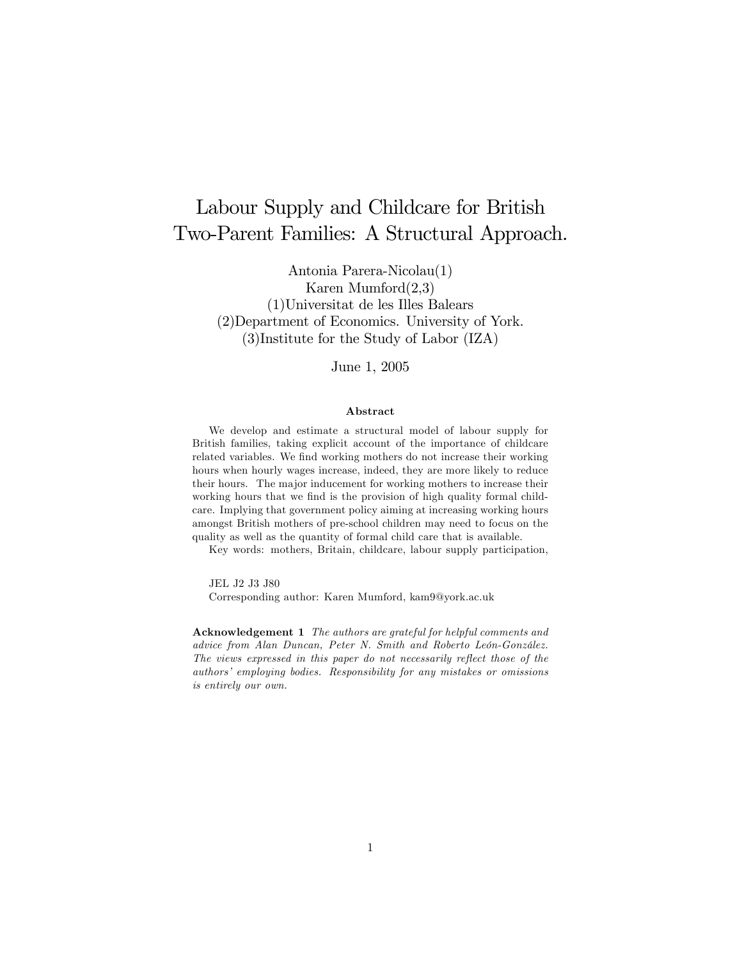# Labour Supply and Childcare for British Two-Parent Families: A Structural Approach.

Antonia Parera-Nicolau(1) Karen Mumford(2,3) (1)Universitat de les Illes Balears (2)Department of Economics. University of York. (3)Institute for the Study of Labor (IZA)

June 1, 2005

#### Abstract

We develop and estimate a structural model of labour supply for British families, taking explicit account of the importance of childcare related variables. We find working mothers do not increase their working hours when hourly wages increase, indeed, they are more likely to reduce their hours. The major inducement for working mothers to increase their working hours that we find is the provision of high quality formal childcare. Implying that government policy aiming at increasing working hours amongst British mothers of pre-school children may need to focus on the quality as well as the quantity of formal child care that is available.

Key words: mothers, Britain, childcare, labour supply participation,

JEL J2 J3 J80

Corresponding author: Karen Mumford, kam9@york.ac.uk

Acknowledgement 1 The authors are grateful for helpful comments and advice from Alan Duncan, Peter N. Smith and Roberto León-González. The views expressed in this paper do not necessarily reflect those of the authors' employing bodies. Responsibility for any mistakes or omissions is entirely our own.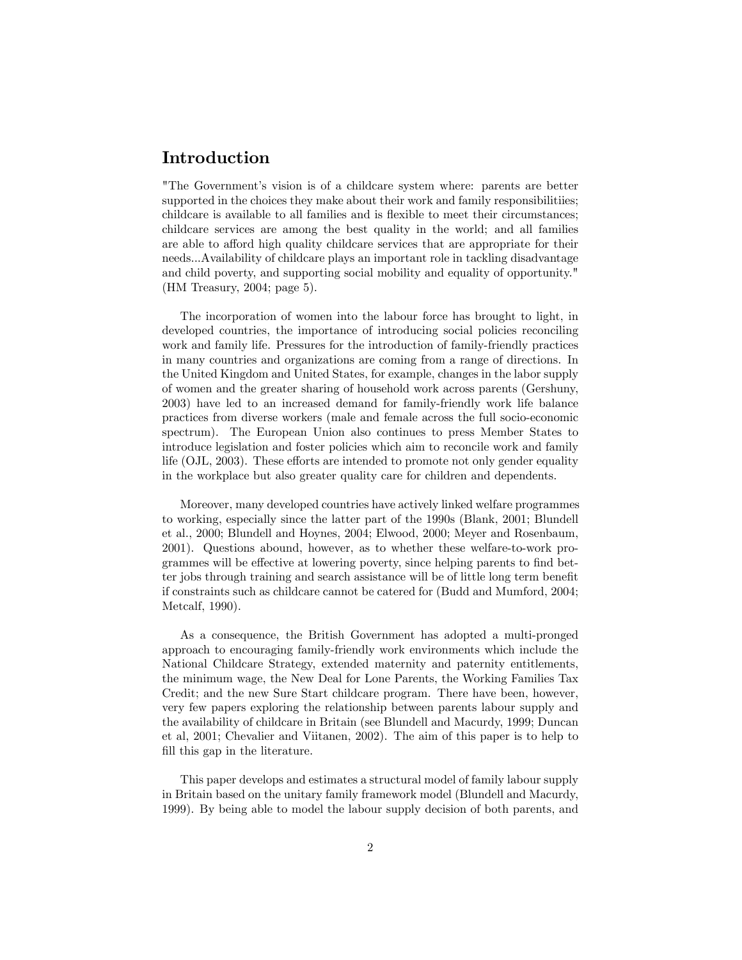## Introduction

"The Governmentís vision is of a childcare system where: parents are better supported in the choices they make about their work and family responsibilitiies; childcare is available to all families and is flexible to meet their circumstances; childcare services are among the best quality in the world; and all families are able to afford high quality childcare services that are appropriate for their needs...Availability of childcare plays an important role in tackling disadvantage and child poverty, and supporting social mobility and equality of opportunity." (HM Treasury, 2004; page 5).

The incorporation of women into the labour force has brought to light, in developed countries, the importance of introducing social policies reconciling work and family life. Pressures for the introduction of family-friendly practices in many countries and organizations are coming from a range of directions. In the United Kingdom and United States, for example, changes in the labor supply of women and the greater sharing of household work across parents (Gershuny, 2003) have led to an increased demand for family-friendly work life balance practices from diverse workers (male and female across the full socio-economic spectrum). The European Union also continues to press Member States to introduce legislation and foster policies which aim to reconcile work and family life  $(OJL, 2003)$ . These efforts are intended to promote not only gender equality in the workplace but also greater quality care for children and dependents.

Moreover, many developed countries have actively linked welfare programmes to working, especially since the latter part of the 1990s (Blank, 2001; Blundell et al., 2000; Blundell and Hoynes, 2004; Elwood, 2000; Meyer and Rosenbaum, 2001). Questions abound, however, as to whether these welfare-to-work programmes will be effective at lowering poverty, since helping parents to find better jobs through training and search assistance will be of little long term benefit if constraints such as childcare cannot be catered for (Budd and Mumford, 2004; Metcalf, 1990).

As a consequence, the British Government has adopted a multi-pronged approach to encouraging family-friendly work environments which include the National Childcare Strategy, extended maternity and paternity entitlements, the minimum wage, the New Deal for Lone Parents, the Working Families Tax Credit; and the new Sure Start childcare program. There have been, however, very few papers exploring the relationship between parents labour supply and the availability of childcare in Britain (see Blundell and Macurdy, 1999; Duncan et al, 2001; Chevalier and Viitanen, 2002). The aim of this paper is to help to fill this gap in the literature.

This paper develops and estimates a structural model of family labour supply in Britain based on the unitary family framework model (Blundell and Macurdy, 1999). By being able to model the labour supply decision of both parents, and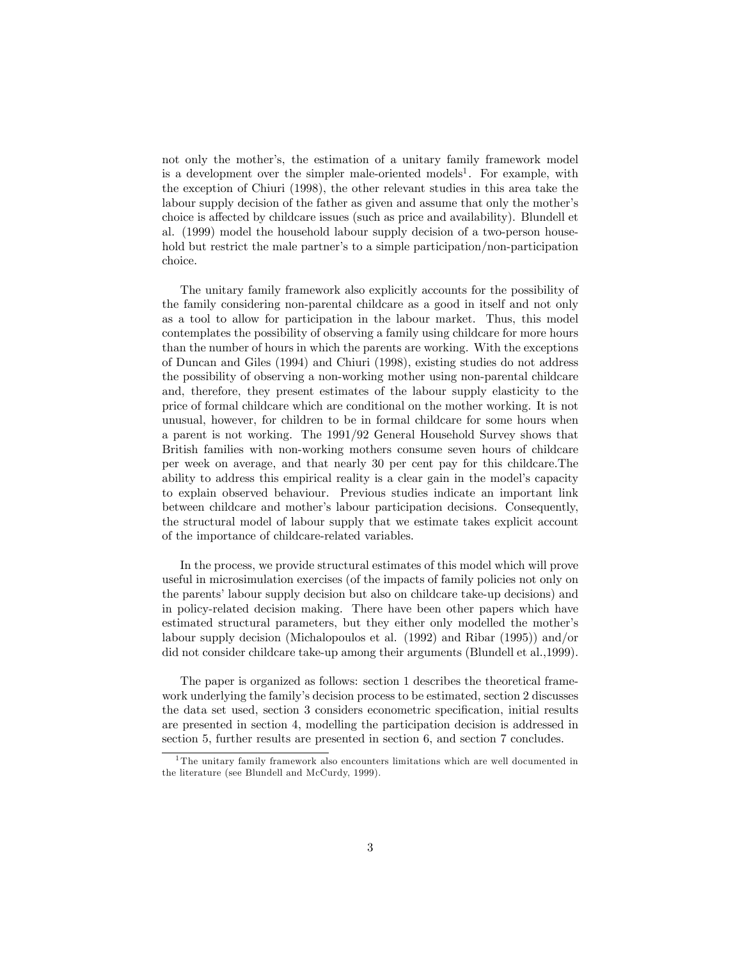not only the mother's, the estimation of a unitary family framework model is a development over the simpler male-oriented models<sup>1</sup>. For example, with the exception of Chiuri (1998), the other relevant studies in this area take the labour supply decision of the father as given and assume that only the mother's choice is affected by childcare issues (such as price and availability). Blundell et al. (1999) model the household labour supply decision of a two-person household but restrict the male partner's to a simple participation/non-participation choice.

The unitary family framework also explicitly accounts for the possibility of the family considering non-parental childcare as a good in itself and not only as a tool to allow for participation in the labour market. Thus, this model contemplates the possibility of observing a family using childcare for more hours than the number of hours in which the parents are working. With the exceptions of Duncan and Giles (1994) and Chiuri (1998), existing studies do not address the possibility of observing a non-working mother using non-parental childcare and, therefore, they present estimates of the labour supply elasticity to the price of formal childcare which are conditional on the mother working. It is not unusual, however, for children to be in formal childcare for some hours when a parent is not working. The 1991/92 General Household Survey shows that British families with non-working mothers consume seven hours of childcare per week on average, and that nearly 30 per cent pay for this childcare.The ability to address this empirical reality is a clear gain in the model's capacity to explain observed behaviour. Previous studies indicate an important link between childcare and mother's labour participation decisions. Consequently, the structural model of labour supply that we estimate takes explicit account of the importance of childcare-related variables.

In the process, we provide structural estimates of this model which will prove useful in microsimulation exercises (of the impacts of family policies not only on the parentsílabour supply decision but also on childcare take-up decisions) and in policy-related decision making. There have been other papers which have estimated structural parameters, but they either only modelled the mother's labour supply decision (Michalopoulos et al. (1992) and Ribar (1995)) and/or did not consider childcare take-up among their arguments (Blundell et al.,1999).

The paper is organized as follows: section 1 describes the theoretical framework underlying the family's decision process to be estimated, section 2 discusses the data set used, section 3 considers econometric specification, initial results are presented in section 4, modelling the participation decision is addressed in section 5, further results are presented in section 6, and section 7 concludes.

 $^1\mathrm{The}$  unitary family framework also encounters limitations which are well documented in the literature (see Blundell and McCurdy, 1999).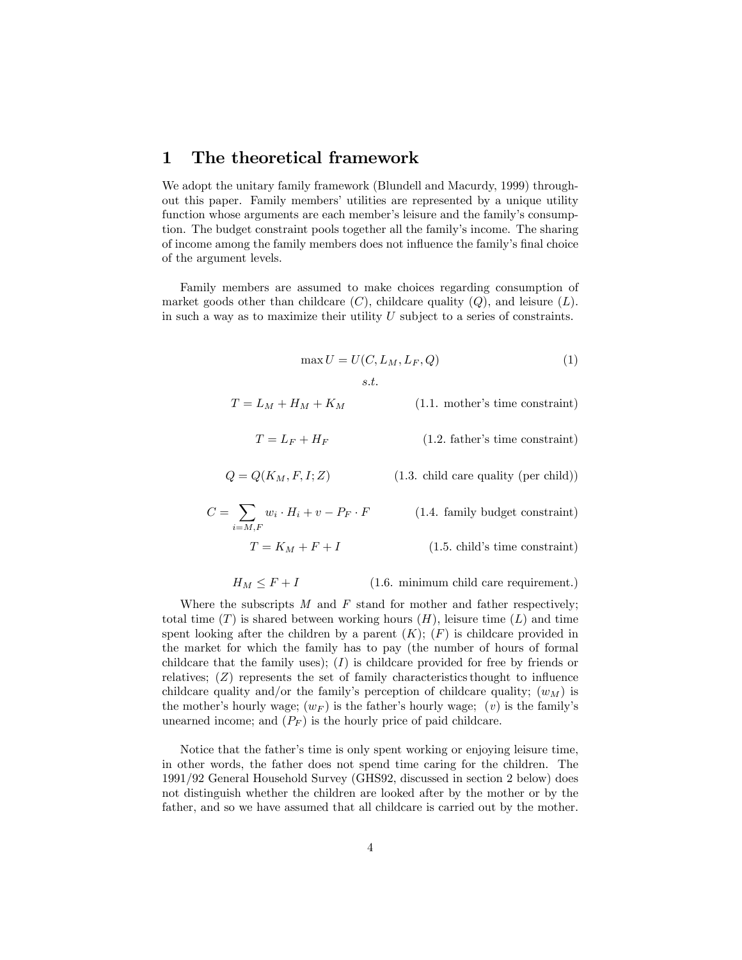## 1 The theoretical framework

We adopt the unitary family framework (Blundell and Macurdy, 1999) throughout this paper. Family membersí utilities are represented by a unique utility function whose arguments are each member's leisure and the family's consumption. The budget constraint pools together all the familyís income. The sharing of income among the family members does not influence the family's final choice of the argument levels.

Family members are assumed to make choices regarding consumption of market goods other than childcare  $(C)$ , childcare quality  $(Q)$ , and leisure  $(L)$ . in such a way as to maximize their utility  $U$  subject to a series of constraints.

$$
\max U = U(C, L_M, L_F, Q)
$$
\n
$$
s.t.\tag{1}
$$

$$
T = L_M + H_M + K_M
$$
 (1.1. mother's time constraint)

$$
T = L_F + H_F
$$
 (1.2. father's time constraint)

$$
Q = Q(K_M, F, I; Z)
$$
 (1.3. child care quality (per child))

$$
C = \sum_{i=M,F} w_i \cdot H_i + v - P_F \cdot F \qquad (1.4. family budget constraint)
$$

$$
T = K_M + F + I \tag{1.5. child's time constraint}
$$

$$
H_M \leq F + I \tag{1.6. minimum child care requirement.}
$$

Where the subscripts  $M$  and  $F$  stand for mother and father respectively; total time  $(T)$  is shared between working hours  $(H)$ , leisure time  $(L)$  and time spent looking after the children by a parent  $(K); (F)$  is childcare provided in the market for which the family has to pay (the number of hours of formal childcare that the family uses);  $(I)$  is childcare provided for free by friends or relatives;  $(Z)$  represents the set of family characteristics thought to influence childcare quality and/or the family's perception of childcare quality;  $(w_M)$  is the mother's hourly wage;  $(w_F)$  is the father's hourly wage;  $(v)$  is the family's unearned income; and  $(P_F)$  is the hourly price of paid childcare.

Notice that the father's time is only spent working or enjoying leisure time, in other words, the father does not spend time caring for the children. The 1991/92 General Household Survey (GHS92, discussed in section 2 below) does not distinguish whether the children are looked after by the mother or by the father, and so we have assumed that all childcare is carried out by the mother.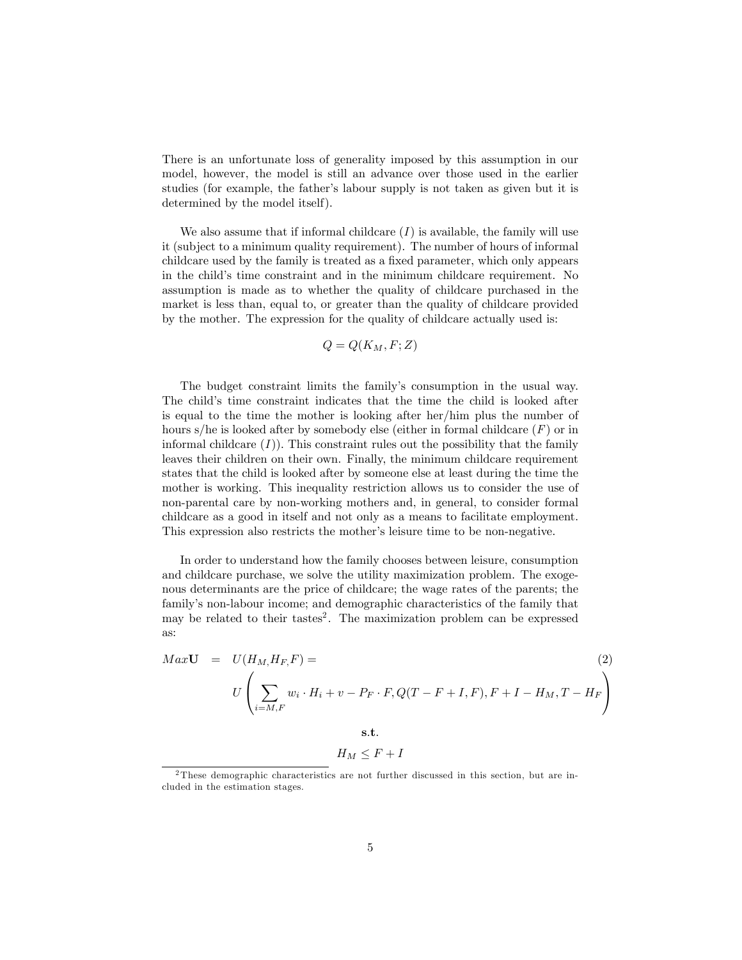There is an unfortunate loss of generality imposed by this assumption in our model, however, the model is still an advance over those used in the earlier studies (for example, the father's labour supply is not taken as given but it is determined by the model itself).

We also assume that if informal childcare  $(I)$  is available, the family will use it (subject to a minimum quality requirement). The number of hours of informal childcare used by the family is treated as a fixed parameter, which only appears in the child's time constraint and in the minimum childcare requirement. No assumption is made as to whether the quality of childcare purchased in the market is less than, equal to, or greater than the quality of childcare provided by the mother. The expression for the quality of childcare actually used is:

$$
Q = Q(K_M, F; Z)
$$

The budget constraint limits the family's consumption in the usual way. The child's time constraint indicates that the time the child is looked after is equal to the time the mother is looking after her/him plus the number of hours s/he is looked after by somebody else (either in formal childcare  $(F)$  or in informal childcare  $(I)$ ). This constraint rules out the possibility that the family leaves their children on their own. Finally, the minimum childcare requirement states that the child is looked after by someone else at least during the time the mother is working. This inequality restriction allows us to consider the use of non-parental care by non-working mothers and, in general, to consider formal childcare as a good in itself and not only as a means to facilitate employment. This expression also restricts the mother's leisure time to be non-negative.

In order to understand how the family chooses between leisure, consumption and childcare purchase, we solve the utility maximization problem. The exogenous determinants are the price of childcare; the wage rates of the parents; the familyís non-labour income; and demographic characteristics of the family that may be related to their tastes<sup>2</sup>. The maximization problem can be expressed as:

$$
Max\mathbf{U} = U(H_M, H_F, F) =
$$
\n
$$
U\left(\sum_{i=M,F} w_i \cdot H_i + v - P_F \cdot F, Q(T - F + I, F), F + I - H_M, T - H_F\right)
$$
\n(2)

s.t.

$$
H_M \leq F + I
$$

<sup>2</sup> These demographic characteristics are not further discussed in this section, but are included in the estimation stages.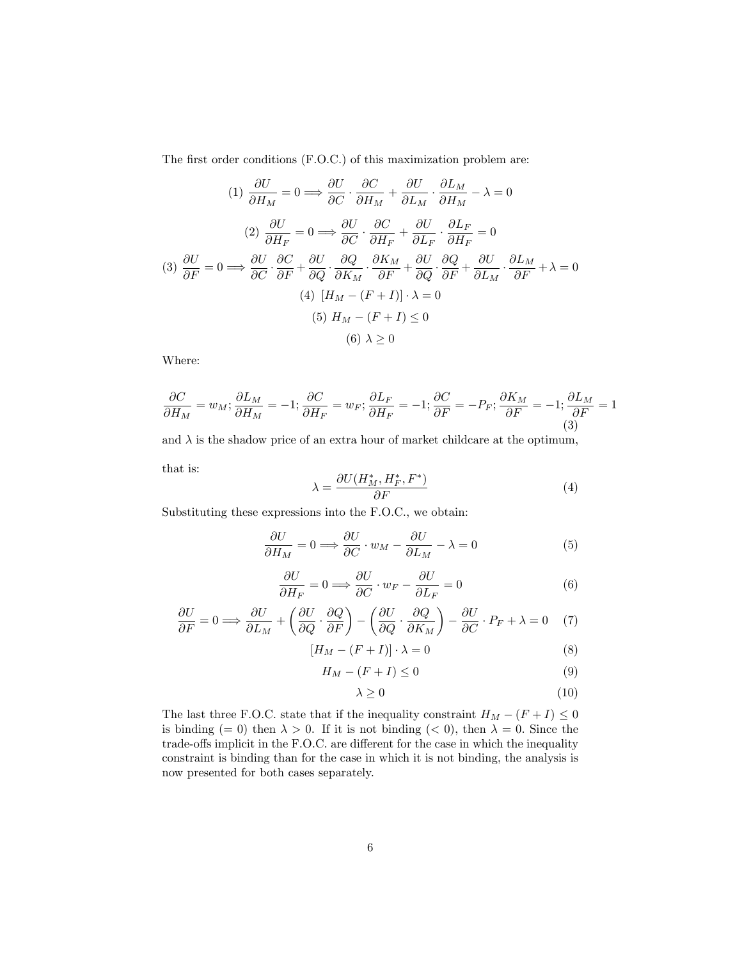The first order conditions (F.O.C.) of this maximization problem are:

(1) 
$$
\frac{\partial U}{\partial H_M} = 0 \Longrightarrow \frac{\partial U}{\partial C} \cdot \frac{\partial C}{\partial H_M} + \frac{\partial U}{\partial L_M} \cdot \frac{\partial L_M}{\partial H_M} - \lambda = 0
$$
  
\n(2) 
$$
\frac{\partial U}{\partial H_F} = 0 \Longrightarrow \frac{\partial U}{\partial C} \cdot \frac{\partial C}{\partial H_F} + \frac{\partial U}{\partial L_F} \cdot \frac{\partial L_F}{\partial H_F} = 0
$$
  
\n(3) 
$$
\frac{\partial U}{\partial F} = 0 \Longrightarrow \frac{\partial U}{\partial C} \cdot \frac{\partial C}{\partial F} + \frac{\partial U}{\partial Q} \cdot \frac{\partial Q}{\partial K_M} \cdot \frac{\partial K_M}{\partial F} + \frac{\partial U}{\partial Q} \cdot \frac{\partial Q}{\partial F} + \frac{\partial U}{\partial L_M} \cdot \frac{\partial L_M}{\partial F} + \lambda = 0
$$
  
\n(4) 
$$
[H_M - (F + I)] \cdot \lambda = 0
$$
  
\n(5) 
$$
H_M - (F + I) \le 0
$$
  
\n(6) 
$$
\lambda \ge 0
$$

Where:

$$
\frac{\partial C}{\partial H_M} = w_M; \frac{\partial L_M}{\partial H_M} = -1; \frac{\partial C}{\partial H_F} = w_F; \frac{\partial L_F}{\partial H_F} = -1; \frac{\partial C}{\partial F} = -P_F; \frac{\partial K_M}{\partial F} = -1; \frac{\partial L_M}{\partial F} = 1
$$
\n(3)

and  $\lambda$  is the shadow price of an extra hour of market childcare at the optimum,

that is:

$$
\lambda = \frac{\partial U(H_M^*, H_F^*, F^*)}{\partial F} \tag{4}
$$

Substituting these expressions into the F.O.C., we obtain:

$$
\frac{\partial U}{\partial H_M} = 0 \Longrightarrow \frac{\partial U}{\partial C} \cdot w_M - \frac{\partial U}{\partial L_M} - \lambda = 0 \tag{5}
$$

$$
\frac{\partial U}{\partial H_F} = 0 \Longrightarrow \frac{\partial U}{\partial C} \cdot w_F - \frac{\partial U}{\partial L_F} = 0 \tag{6}
$$

$$
\frac{\partial U}{\partial F} = 0 \Longrightarrow \frac{\partial U}{\partial L_M} + \left(\frac{\partial U}{\partial Q} \cdot \frac{\partial Q}{\partial F}\right) - \left(\frac{\partial U}{\partial Q} \cdot \frac{\partial Q}{\partial K_M}\right) - \frac{\partial U}{\partial C} \cdot P_F + \lambda = 0 \quad (7)
$$

$$
[H_M - (F + I)] \cdot \lambda = 0 \tag{8}
$$

$$
H_M - (F + I) \le 0 \tag{9}
$$

$$
\lambda \ge 0 \tag{10}
$$

The last three F.O.C. state that if the inequality constraint  $H_M - (F + I) \leq 0$ is binding (= 0) then  $\lambda > 0$ . If it is not binding (< 0), then  $\lambda = 0$ . Since the trade-offs implicit in the F.O.C. are different for the case in which the inequality constraint is binding than for the case in which it is not binding, the analysis is now presented for both cases separately.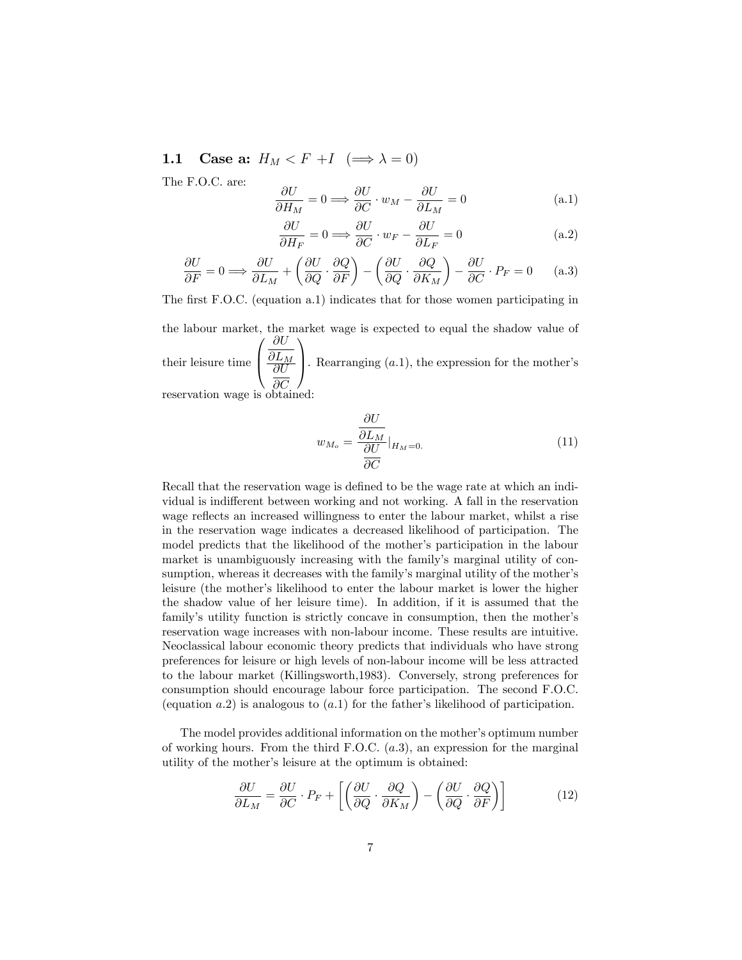1.1 Case a:  $H_M < F + I \implies \lambda = 0$ 

The F.O.C. are:

$$
\frac{\partial U}{\partial H_M} = 0 \Longrightarrow \frac{\partial U}{\partial C} \cdot w_M - \frac{\partial U}{\partial L_M} = 0 \tag{a.1}
$$

$$
\frac{\partial U}{\partial H_F} = 0 \Longrightarrow \frac{\partial U}{\partial C} \cdot w_F - \frac{\partial U}{\partial L_F} = 0
$$
\n(a.2)

$$
\frac{\partial U}{\partial F} = 0 \Longrightarrow \frac{\partial U}{\partial L_M} + \left(\frac{\partial U}{\partial Q} \cdot \frac{\partial Q}{\partial F}\right) - \left(\frac{\partial U}{\partial Q} \cdot \frac{\partial Q}{\partial K_M}\right) - \frac{\partial U}{\partial C} \cdot P_F = 0 \quad (a.3)
$$

The first F.O.C. (equation a.1) indicates that for those women participating in

the labour market, the market wage is expected to equal the shadow value of their leisure time  $\sqrt{ }$  $\frac{\partial L_M}{\partial U}$  $\partial U$  $\frac{\partial L_M}{\partial U}$ . Rearranging (a.1), the expression for the mother's reservation wage is obtained: 1

$$
w_{M_o} = \frac{\frac{\partial U}{\partial L_M}}{\frac{\partial U}{\partial C}}|_{H_M = 0.}
$$
\n(11)

Recall that the reservation wage is defined to be the wage rate at which an individual is indifferent between working and not working. A fall in the reservation wage reflects an increased willingness to enter the labour market, whilst a rise in the reservation wage indicates a decreased likelihood of participation. The model predicts that the likelihood of the mother's participation in the labour market is unambiguously increasing with the family's marginal utility of consumption, whereas it decreases with the family's marginal utility of the mother's leisure (the mother's likelihood to enter the labour market is lower the higher the shadow value of her leisure time). In addition, if it is assumed that the family's utility function is strictly concave in consumption, then the mother's reservation wage increases with non-labour income. These results are intuitive. Neoclassical labour economic theory predicts that individuals who have strong preferences for leisure or high levels of non-labour income will be less attracted to the labour market (Killingsworth,1983). Conversely, strong preferences for consumption should encourage labour force participation. The second F.O.C. (equation a.2) is analogous to  $(a.1)$  for the father's likelihood of participation.

The model provides additional information on the mother's optimum number of working hours. From the third F.O.C.  $(a.3)$ , an expression for the marginal utility of the mother's leisure at the optimum is obtained:

$$
\frac{\partial U}{\partial L_M} = \frac{\partial U}{\partial C} \cdot P_F + \left[ \left( \frac{\partial U}{\partial Q} \cdot \frac{\partial Q}{\partial K_M} \right) - \left( \frac{\partial U}{\partial Q} \cdot \frac{\partial Q}{\partial F} \right) \right]
$$
(12)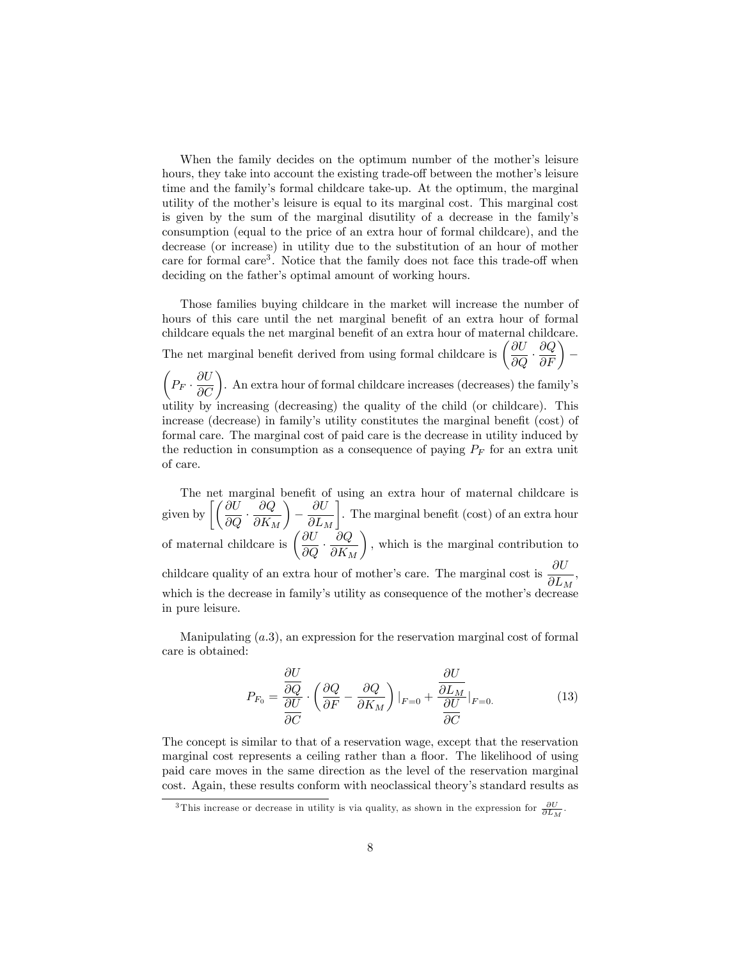When the family decides on the optimum number of the mother's leisure hours, they take into account the existing trade-off between the mother's leisure time and the familyís formal childcare take-up. At the optimum, the marginal utility of the mother's leisure is equal to its marginal cost. This marginal cost is given by the sum of the marginal disutility of a decrease in the familyís consumption (equal to the price of an extra hour of formal childcare), and the decrease (or increase) in utility due to the substitution of an hour of mother care for formal care<sup>3</sup>. Notice that the family does not face this trade-off when deciding on the father's optimal amount of working hours.

Those families buying childcare in the market will increase the number of hours of this care until the net marginal benefit of an extra hour of formal childcare equals the net marginal benefit of an extra hour of maternal childcare. The net marginal benefit derived from using formal childcare is  $\left(\frac{\partial U}{\partial x}\right)$  $\overline{\partial Q}$  .  $\left(\frac{\partial Q}{\partial F}\right)$  –  $\sqrt{ }$  $P_F \cdot \frac{\partial U}{\partial C}$ . An extra hour of formal childcare increases (decreases) the family's utility by increasing (decreasing) the quality of the child (or childcare). This increase (decrease) in family's utility constitutes the marginal benefit (cost) of formal care. The marginal cost of paid care is the decrease in utility induced by the reduction in consumption as a consequence of paying  $P_F$  for an extra unit of care.

The net marginal benefit of using an extra hour of maternal childcare is given by  $\left[\left(\frac{\partial U}{\partial Q}\right)\right]$  $\partial Q$  $\partial K_M$  $\overline{ }$ Ξ  $\partial U$  $\partial L_M$ 1 . The marginal benefit (cost) of an extra hour of maternal childcare is  $\left(\frac{\partial U}{\partial \Omega}\right)$  $\overline{\partial Q}$  .  $\partial Q$  $\partial K_M$  $\setminus$ ; which is the marginal contribution to childcare quality of an extra hour of mother's care. The marginal cost is  $\frac{\partial U}{\partial L_M}$ , which is the decrease in family's utility as consequence of the mother's decrease in pure leisure.

Manipulating  $(a.3)$ , an expression for the reservation marginal cost of formal care is obtained:

$$
P_{F_0} = \frac{\frac{\partial U}{\partial Q}}{\frac{\partial U}{\partial C}} \cdot \left(\frac{\partial Q}{\partial F} - \frac{\partial Q}{\partial K_M}\right)|_{F=0} + \frac{\frac{\partial U}{\partial L_M}}{\frac{\partial U}{\partial C}}|_{F=0.}
$$
(13)

The concept is similar to that of a reservation wage, except that the reservation marginal cost represents a ceiling rather than a floor. The likelihood of using paid care moves in the same direction as the level of the reservation marginal cost. Again, these results conform with neoclassical theory's standard results as

<sup>&</sup>lt;sup>3</sup>This increase or decrease in utility is via quality, as shown in the expression for  $\frac{\partial U}{\partial L_M}$ .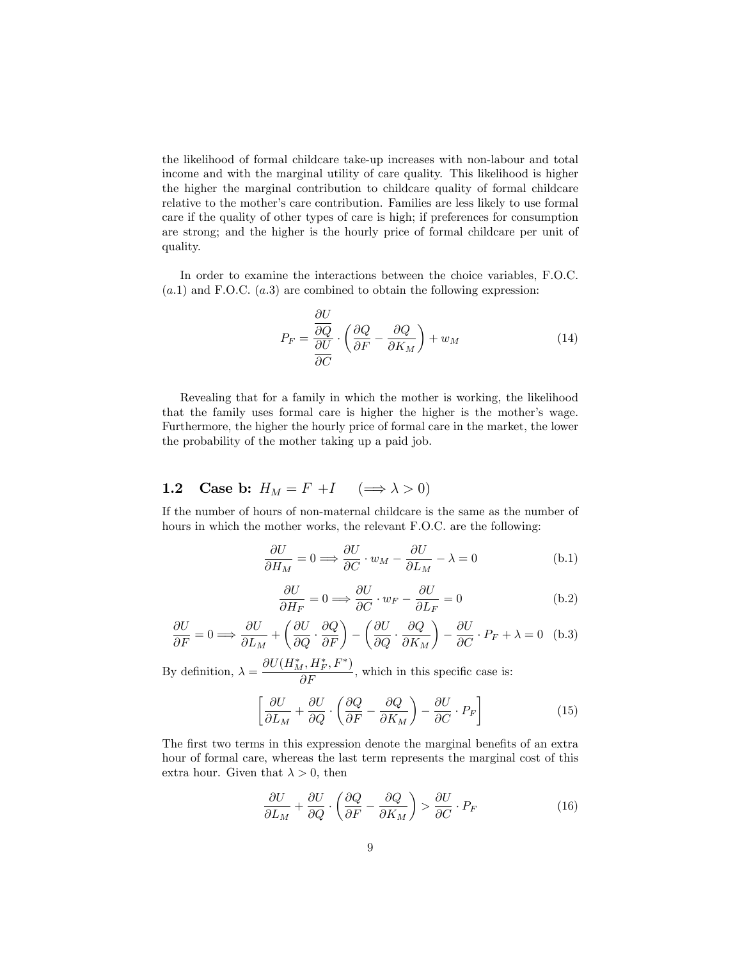the likelihood of formal childcare take-up increases with non-labour and total income and with the marginal utility of care quality. This likelihood is higher the higher the marginal contribution to childcare quality of formal childcare relative to the mother's care contribution. Families are less likely to use formal care if the quality of other types of care is high; if preferences for consumption are strong; and the higher is the hourly price of formal childcare per unit of quality.

In order to examine the interactions between the choice variables, F.O.C.  $(a.1)$  and F.O.C.  $(a.3)$  are combined to obtain the following expression:

 $\sim$   $-$ 

$$
P_F = \frac{\frac{\partial U}{\partial Q}}{\frac{\partial U}{\partial C}} \cdot \left(\frac{\partial Q}{\partial F} - \frac{\partial Q}{\partial K_M}\right) + w_M \tag{14}
$$

Revealing that for a family in which the mother is working, the likelihood that the family uses formal care is higher the higher is the mother's wage. Furthermore, the higher the hourly price of formal care in the market, the lower the probability of the mother taking up a paid job.

## 1.2 Case b:  $H_M = F + I \quad (\Longrightarrow \lambda > 0)$

If the number of hours of non-maternal childcare is the same as the number of hours in which the mother works, the relevant F.O.C. are the following:

$$
\frac{\partial U}{\partial H_M} = 0 \Longrightarrow \frac{\partial U}{\partial C} \cdot w_M - \frac{\partial U}{\partial L_M} - \lambda = 0
$$
 (b.1)

$$
\frac{\partial U}{\partial H_F} = 0 \Longrightarrow \frac{\partial U}{\partial C} \cdot w_F - \frac{\partial U}{\partial L_F} = 0
$$
 (b.2)

$$
\frac{\partial U}{\partial F} = 0 \Longrightarrow \frac{\partial U}{\partial L_M} + \left(\frac{\partial U}{\partial Q} \cdot \frac{\partial Q}{\partial F}\right) - \left(\frac{\partial U}{\partial Q} \cdot \frac{\partial Q}{\partial K_M}\right) - \frac{\partial U}{\partial C} \cdot P_F + \lambda = 0 \quad (b.3)
$$

By definition,  $\lambda = \frac{\partial U(H_M^*, H_F^*, F^*)}{\partial F}$ , which in this specific case is:

$$
\left[\frac{\partial U}{\partial L_M} + \frac{\partial U}{\partial Q} \cdot \left(\frac{\partial Q}{\partial F} - \frac{\partial Q}{\partial K_M}\right) - \frac{\partial U}{\partial C} \cdot P_F\right]
$$
(15)

The first two terms in this expression denote the marginal benefits of an extra hour of formal care, whereas the last term represents the marginal cost of this extra hour. Given that  $\lambda > 0$ , then

$$
\frac{\partial U}{\partial L_M} + \frac{\partial U}{\partial Q} \cdot \left( \frac{\partial Q}{\partial F} - \frac{\partial Q}{\partial K_M} \right) > \frac{\partial U}{\partial C} \cdot P_F \tag{16}
$$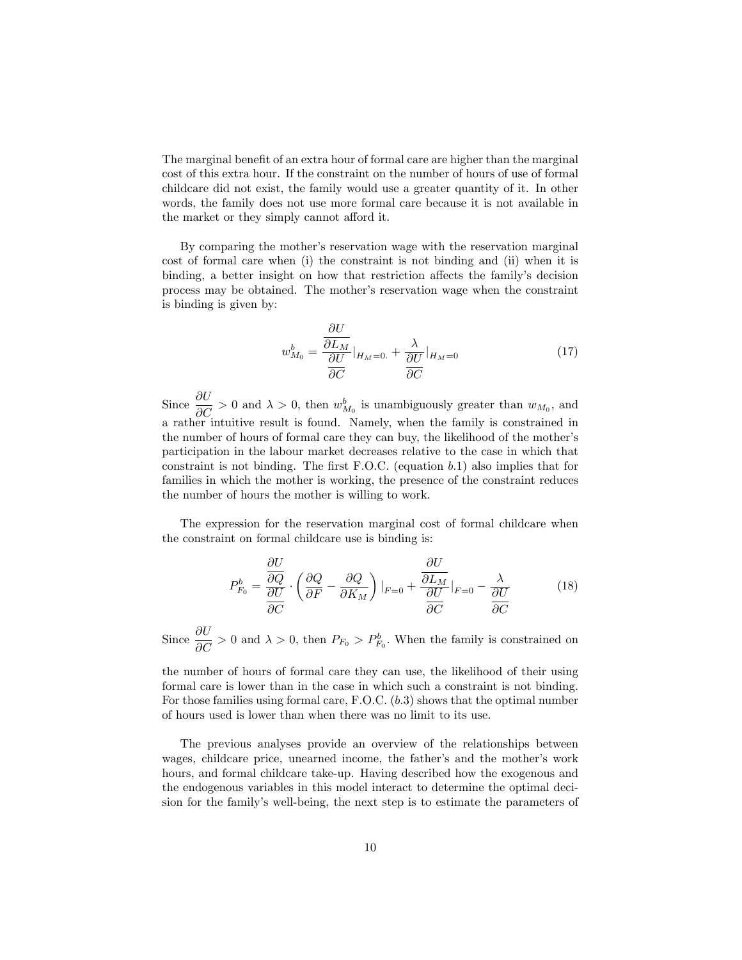The marginal benefit of an extra hour of formal care are higher than the marginal cost of this extra hour. If the constraint on the number of hours of use of formal childcare did not exist, the family would use a greater quantity of it. In other words, the family does not use more formal care because it is not available in the market or they simply cannot afford it.

By comparing the mother's reservation wage with the reservation marginal cost of formal care when (i) the constraint is not binding and (ii) when it is binding, a better insight on how that restriction affects the family's decision process may be obtained. The motherís reservation wage when the constraint is binding is given by:

$$
w_{M_0}^b = \frac{\frac{\partial U}{\partial L_M}}{\frac{\partial U}{\partial C}}\Big|_{H_M=0.} + \frac{\lambda}{\frac{\partial U}{\partial C}}\Big|_{H_M=0}
$$
(17)

Since  $\frac{\partial U}{\partial C} > 0$  and  $\lambda > 0$ , then  $w_{M_0}^b$  is unambiguously greater than  $w_{M_0}$ , and a rather intuitive result is found. Namely, when the family is constrained in the number of hours of formal care they can buy, the likelihood of the motherís participation in the labour market decreases relative to the case in which that constraint is not binding. The first F.O.C. (equation  $b.1$ ) also implies that for families in which the mother is working, the presence of the constraint reduces the number of hours the mother is willing to work.

The expression for the reservation marginal cost of formal childcare when the constraint on formal childcare use is binding is:

$$
P_{F_0}^b = \frac{\frac{\partial U}{\partial Q}}{\frac{\partial U}{\partial C}} \cdot \left(\frac{\partial Q}{\partial F} - \frac{\partial Q}{\partial K_M}\right)|_{F=0} + \frac{\frac{\partial U}{\partial L_M}}{\frac{\partial U}{\partial C}}|_{F=0} - \frac{\lambda}{\frac{\partial U}{\partial C}}
$$
(18)

Since  $\frac{\partial U}{\partial C} > 0$  and  $\lambda > 0$ , then  $P_{F_0} > P_{F_0}^b$ . When the family is constrained on

the number of hours of formal care they can use, the likelihood of their using formal care is lower than in the case in which such a constraint is not binding. For those families using formal care, F.O.C.  $(b.3)$  shows that the optimal number of hours used is lower than when there was no limit to its use.

The previous analyses provide an overview of the relationships between wages, childcare price, unearned income, the father's and the mother's work hours, and formal childcare take-up. Having described how the exogenous and the endogenous variables in this model interact to determine the optimal decision for the familyís well-being, the next step is to estimate the parameters of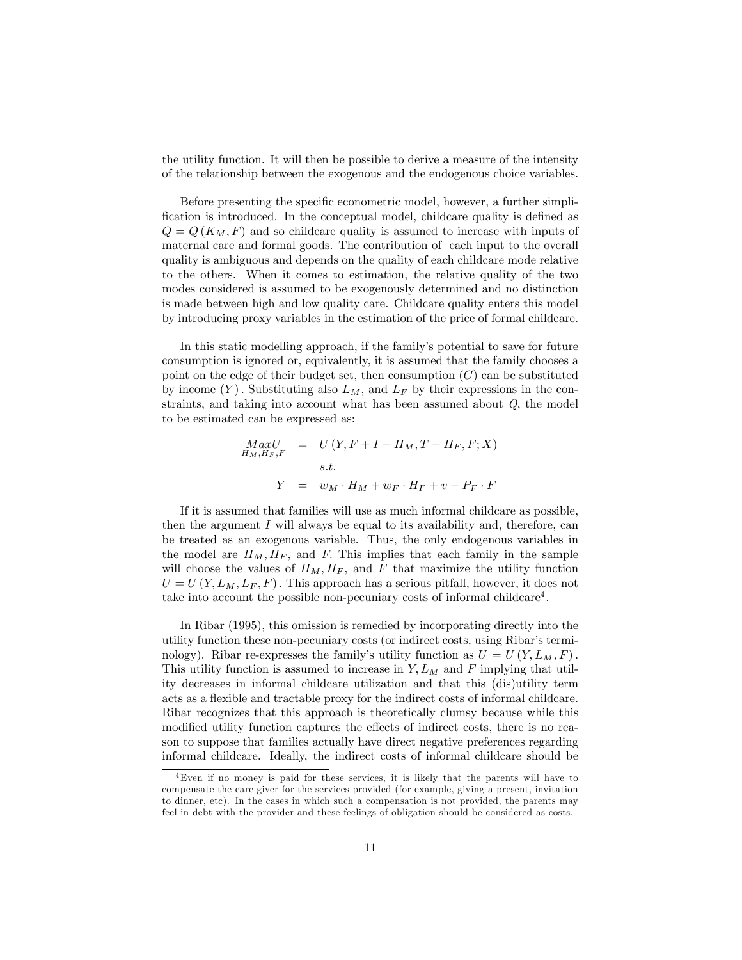the utility function. It will then be possible to derive a measure of the intensity of the relationship between the exogenous and the endogenous choice variables.

Before presenting the specific econometric model, however, a further simplification is introduced. In the conceptual model, childcare quality is defined as  $Q = Q(K_M, F)$  and so childcare quality is assumed to increase with inputs of maternal care and formal goods. The contribution of each input to the overall quality is ambiguous and depends on the quality of each childcare mode relative to the others. When it comes to estimation, the relative quality of the two modes considered is assumed to be exogenously determined and no distinction is made between high and low quality care. Childcare quality enters this model by introducing proxy variables in the estimation of the price of formal childcare.

In this static modelling approach, if the family's potential to save for future consumption is ignored or, equivalently, it is assumed that the family chooses a point on the edge of their budget set, then consumption  $(C)$  can be substituted by income  $(Y)$ . Substituting also  $L_M$ , and  $L_F$  by their expressions in the constraints, and taking into account what has been assumed about  $Q$ , the model to be estimated can be expressed as:

$$
MaxU
$$
  
\n
$$
H_M,H_F,F
$$
  
\n
$$
= U(Y, F + I - H_M, T - H_F, F; X)
$$
  
\n
$$
s.t.
$$
  
\n
$$
Y = w_M \cdot H_M + w_F \cdot H_F + v - P_F \cdot F
$$

If it is assumed that families will use as much informal childcare as possible, then the argument  $I$  will always be equal to its availability and, therefore, can be treated as an exogenous variable. Thus, the only endogenous variables in the model are  $H_M$ ,  $H_F$ , and F. This implies that each family in the sample will choose the values of  $H_M, H_F$ , and F that maximize the utility function  $U = U(Y, L_M, L_F, F)$ . This approach has a serious pitfall, however, it does not take into account the possible non-pecuniary costs of informal childcare<sup>4</sup>.

In Ribar (1995), this omission is remedied by incorporating directly into the utility function these non-pecuniary costs (or indirect costs, using Ribar's terminology). Ribar re-expresses the family's utility function as  $U = U(Y, L_M, F)$ . This utility function is assumed to increase in  $Y, L_M$  and F implying that utility decreases in informal childcare utilization and that this (dis)utility term acts as a flexible and tractable proxy for the indirect costs of informal childcare. Ribar recognizes that this approach is theoretically clumsy because while this modified utility function captures the effects of indirect costs, there is no reason to suppose that families actually have direct negative preferences regarding informal childcare. Ideally, the indirect costs of informal childcare should be

<sup>4</sup>Even if no money is paid for these services, it is likely that the parents will have to compensate the care giver for the services provided (for example, giving a present, invitation to dinner, etc). In the cases in which such a compensation is not provided, the parents may feel in debt with the provider and these feelings of obligation should be considered as costs.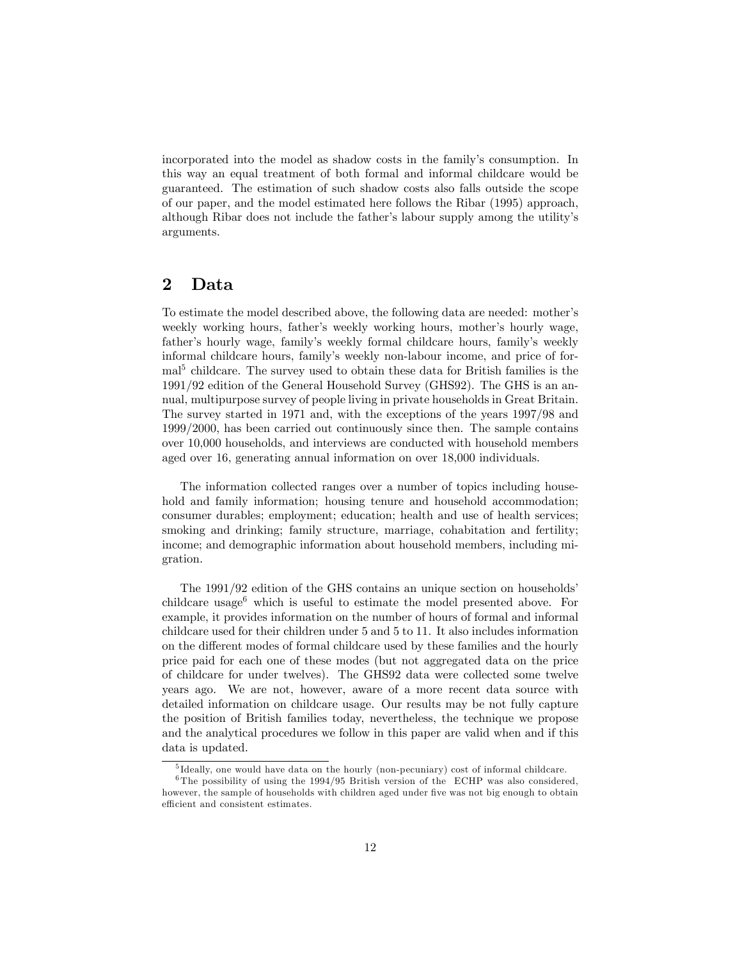incorporated into the model as shadow costs in the familyís consumption. In this way an equal treatment of both formal and informal childcare would be guaranteed. The estimation of such shadow costs also falls outside the scope of our paper, and the model estimated here follows the Ribar (1995) approach, although Ribar does not include the father's labour supply among the utility's arguments.

## 2 Data

To estimate the model described above, the following data are needed: mother's weekly working hours, father's weekly working hours, mother's hourly wage, father's hourly wage, family's weekly formal childcare hours, family's weekly informal childcare hours, familyís weekly non-labour income, and price of formal<sup>5</sup> childcare. The survey used to obtain these data for British families is the 1991/92 edition of the General Household Survey (GHS92). The GHS is an annual, multipurpose survey of people living in private households in Great Britain. The survey started in 1971 and, with the exceptions of the years 1997/98 and 1999/2000, has been carried out continuously since then. The sample contains over 10,000 households, and interviews are conducted with household members aged over 16, generating annual information on over 18,000 individuals.

The information collected ranges over a number of topics including household and family information; housing tenure and household accommodation; consumer durables; employment; education; health and use of health services; smoking and drinking; family structure, marriage, cohabitation and fertility; income; and demographic information about household members, including migration.

The 1991/92 edition of the GHS contains an unique section on households' childcare usage<sup> $6$ </sup> which is useful to estimate the model presented above. For example, it provides information on the number of hours of formal and informal childcare used for their children under 5 and 5 to 11. It also includes information on the different modes of formal childcare used by these families and the hourly price paid for each one of these modes (but not aggregated data on the price of childcare for under twelves). The GHS92 data were collected some twelve years ago. We are not, however, aware of a more recent data source with detailed information on childcare usage. Our results may be not fully capture the position of British families today, nevertheless, the technique we propose and the analytical procedures we follow in this paper are valid when and if this data is updated.

<sup>&</sup>lt;sup>5</sup>Ideally, one would have data on the hourly (non-pecuniary) cost of informal childcare.

<sup>&</sup>lt;sup>6</sup>The possibility of using the 1994/95 British version of the ECHP was also considered, however, the sample of households with children aged under five was not big enough to obtain efficient and consistent estimates.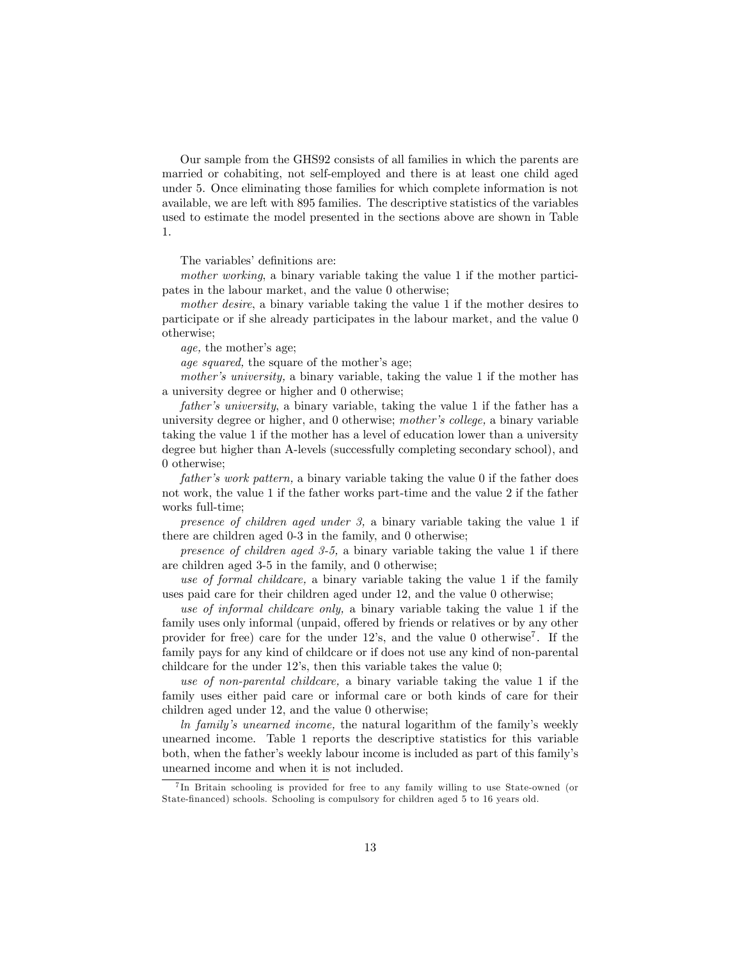Our sample from the GHS92 consists of all families in which the parents are married or cohabiting, not self-employed and there is at least one child aged under 5. Once eliminating those families for which complete information is not available, we are left with 895 families. The descriptive statistics of the variables used to estimate the model presented in the sections above are shown in Table 1.

The variables' definitions are:

mother working, a binary variable taking the value 1 if the mother participates in the labour market, and the value 0 otherwise;

mother desire, a binary variable taking the value 1 if the mother desires to participate or if she already participates in the labour market, and the value 0 otherwise;

age, the mother's age;

age squared, the square of the mother's age;

mother's university, a binary variable, taking the value 1 if the mother has a university degree or higher and 0 otherwise;

father's university, a binary variable, taking the value 1 if the father has a university degree or higher, and 0 otherwise; mother's college, a binary variable taking the value 1 if the mother has a level of education lower than a university degree but higher than A-levels (successfully completing secondary school), and 0 otherwise;

 $father's work pattern$ , a binary variable taking the value 0 if the father does not work, the value 1 if the father works part-time and the value 2 if the father works full-time;

presence of children aged under 3, a binary variable taking the value 1 if there are children aged 0-3 in the family, and 0 otherwise;

presence of children aged 3-5, a binary variable taking the value 1 if there are children aged 3-5 in the family, and 0 otherwise;

use of formal childcare, a binary variable taking the value 1 if the family uses paid care for their children aged under 12, and the value 0 otherwise;

use of informal childcare only, a binary variable taking the value 1 if the family uses only informal (unpaid, offered by friends or relatives or by any other provider for free) care for the under 12's, and the value 0 otherwise<sup>7</sup>. If the family pays for any kind of childcare or if does not use any kind of non-parental childcare for the under  $12$ 's, then this variable takes the value  $0$ ;

use of non-parental childcare, a binary variable taking the value 1 if the family uses either paid care or informal care or both kinds of care for their children aged under 12, and the value 0 otherwise;

ln familyís unearned income, the natural logarithm of the familyís weekly unearned income. Table 1 reports the descriptive statistics for this variable both, when the father's weekly labour income is included as part of this family's unearned income and when it is not included.

<sup>7</sup> In Britain schooling is provided for free to any family willing to use State-owned (or State-Önanced) schools. Schooling is compulsory for children aged 5 to 16 years old.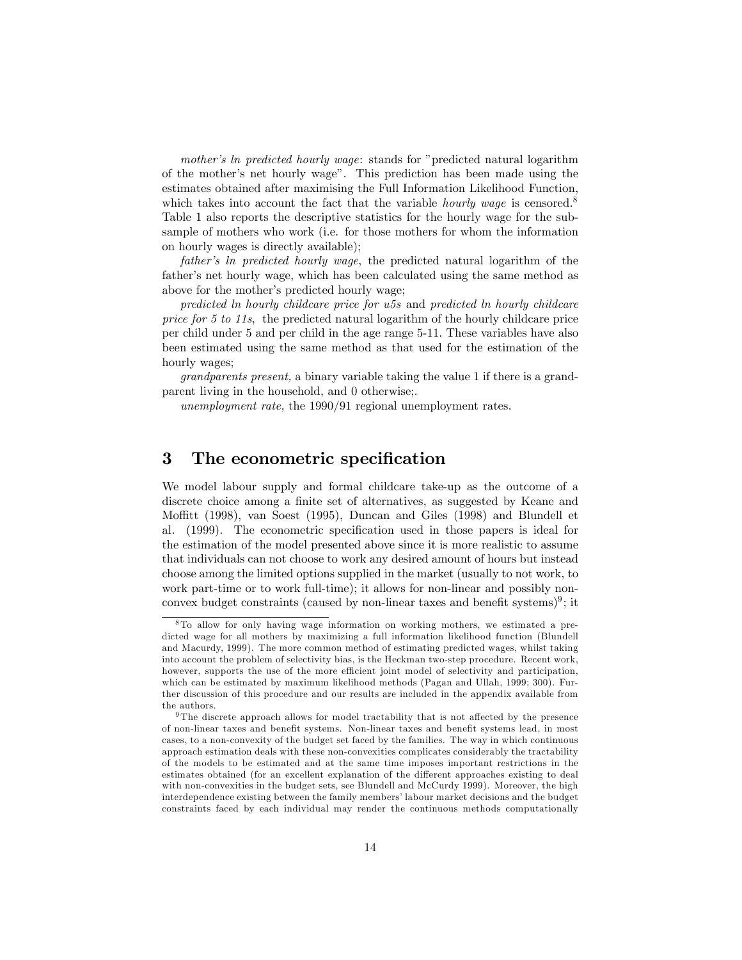mother's ln predicted hourly wage: stands for "predicted natural logarithm of the mother's net hourly wage". This prediction has been made using the estimates obtained after maximising the Full Information Likelihood Function, which takes into account the fact that the variable *hourly wage* is censored.<sup>8</sup> Table 1 also reports the descriptive statistics for the hourly wage for the subsample of mothers who work (i.e. for those mothers for whom the information on hourly wages is directly available);

father's ln predicted hourly wage, the predicted natural logarithm of the father's net hourly wage, which has been calculated using the same method as above for the mother's predicted hourly wage;

predicted ln hourly childcare price for u5s and predicted ln hourly childcare price for 5 to 11s, the predicted natural logarithm of the hourly childcare price per child under 5 and per child in the age range 5-11. These variables have also been estimated using the same method as that used for the estimation of the hourly wages;

grandparents present, a binary variable taking the value 1 if there is a grandparent living in the household, and 0 otherwise;.

unemployment rate, the 1990/91 regional unemployment rates.

## 3 The econometric specification

We model labour supply and formal childcare take-up as the outcome of a discrete choice among a finite set of alternatives, as suggested by Keane and Moffitt (1998), van Soest (1995), Duncan and Giles (1998) and Blundell et al. (1999). The econometric specification used in those papers is ideal for the estimation of the model presented above since it is more realistic to assume that individuals can not choose to work any desired amount of hours but instead choose among the limited options supplied in the market (usually to not work, to work part-time or to work full-time); it allows for non-linear and possibly nonconvex budget constraints (caused by non-linear taxes and benefit systems)<sup>9</sup>; it

<sup>8</sup> To allow for only having wage information on working mothers, we estimated a predicted wage for all mothers by maximizing a full information likelihood function (Blundell and Macurdy, 1999). The more common method of estimating predicted wages, whilst taking into account the problem of selectivity bias, is the Heckman two-step procedure. Recent work, however, supports the use of the more efficient joint model of selectivity and participation, which can be estimated by maximum likelihood methods (Pagan and Ullah, 1999; 300). Further discussion of this procedure and our results are included in the appendix available from the authors.

<sup>&</sup>lt;sup>9</sup> The discrete approach allows for model tractability that is not affected by the presence of non-linear taxes and beneÖt systems. Non-linear taxes and beneÖt systems lead, in most cases, to a non-convexity of the budget set faced by the families. The way in which continuous approach estimation deals with these non-convexities complicates considerably the tractability of the models to be estimated and at the same time imposes important restrictions in the estimates obtained (for an excellent explanation of the different approaches existing to deal with non-convexities in the budget sets, see Blundell and McCurdy 1999). Moreover, the high interdependence existing between the family members' labour market decisions and the budget constraints faced by each individual may render the continuous methods computationally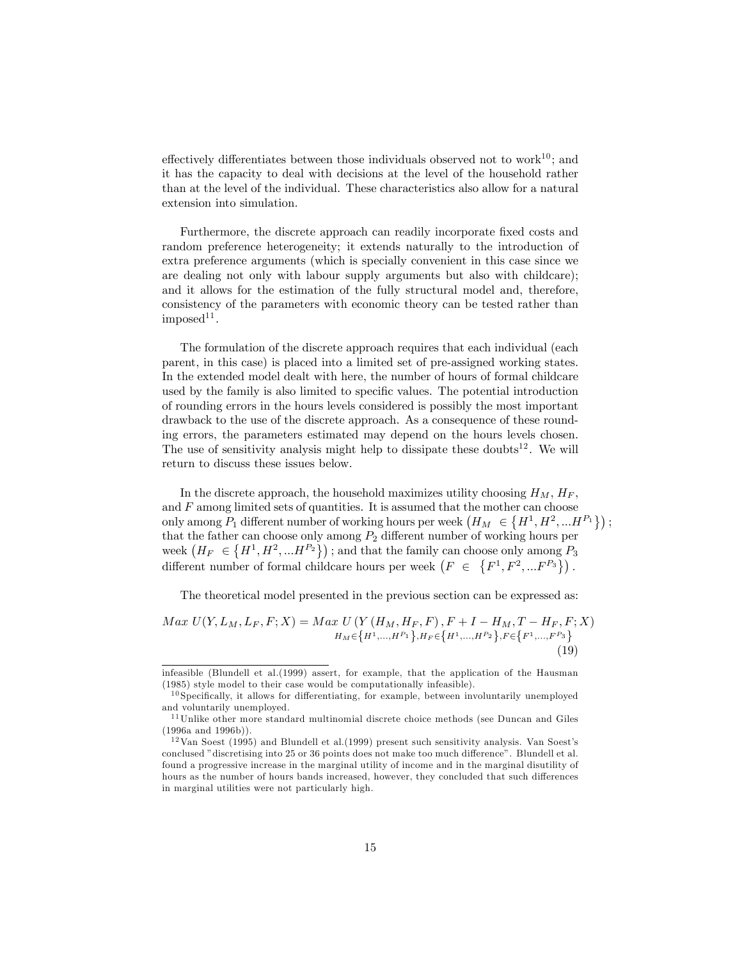effectively differentiates between those individuals observed not to work<sup>10</sup>; and it has the capacity to deal with decisions at the level of the household rather than at the level of the individual. These characteristics also allow for a natural extension into simulation.

Furthermore, the discrete approach can readily incorporate fixed costs and random preference heterogeneity; it extends naturally to the introduction of extra preference arguments (which is specially convenient in this case since we are dealing not only with labour supply arguments but also with childcare); and it allows for the estimation of the fully structural model and, therefore, consistency of the parameters with economic theory can be tested rather than  $imposed<sup>11</sup>$ .

The formulation of the discrete approach requires that each individual (each parent, in this case) is placed into a limited set of pre-assigned working states. In the extended model dealt with here, the number of hours of formal childcare used by the family is also limited to specific values. The potential introduction of rounding errors in the hours levels considered is possibly the most important drawback to the use of the discrete approach. As a consequence of these rounding errors, the parameters estimated may depend on the hours levels chosen. The use of sensitivity analysis might help to dissipate these doubts<sup>12</sup>. We will return to discuss these issues below.

In the discrete approach, the household maximizes utility choosing  $H_M$ ,  $H_F$ , and  $F$  among limited sets of quantities. It is assumed that the mother can choose only among  $P_1$  different number of working hours per week  $(H_M \in \{H^1, H^2, ... H^{P_1}\})$ ; that the father can choose only among  $P_2$  different number of working hours per week  $(H_F \in \{H^1, H^2, ... H^{P_2}\})$ ; and that the family can choose only among  $P_3$ different number of formal childcare hours per week  $(F \in \{F^1, F^2, ... F^{P_3}\})$ .

The theoretical model presented in the previous section can be expressed as:

$$
Max \ U(Y, L_M, L_F, F; X) = Max \ U \ (Y \ (H_M, H_F, F), F + I - H_M, T - H_F, F; X)
$$

$$
H_M \in \{H^1, \dots, H^{P_1}\}, H_F \in \{H^1, \dots, H^{P_2}\}, F \in \{F^1, \dots, F^{P_3}\}
$$
(19)

infeasible (Blundell et al.(1999) assert, for example, that the application of the Hausman (1985) style model to their case would be computationally infeasible).

 $10$  Specifically, it allows for differentiating, for example, between involuntarily unemployed and voluntarily unemployed.

<sup>&</sup>lt;sup>11</sup>Unlike other more standard multinomial discrete choice methods (see Duncan and Giles (1996a and 1996b)).

 $12$  Van Soest (1995) and Blundell et al.(1999) present such sensitivity analysis. Van Soest's conclused "discretising into 25 or 36 points does not make too much difference". Blundell et al. found a progressive increase in the marginal utility of income and in the marginal disutility of hours as the number of hours bands increased, however, they concluded that such differences in marginal utilities were not particularly high.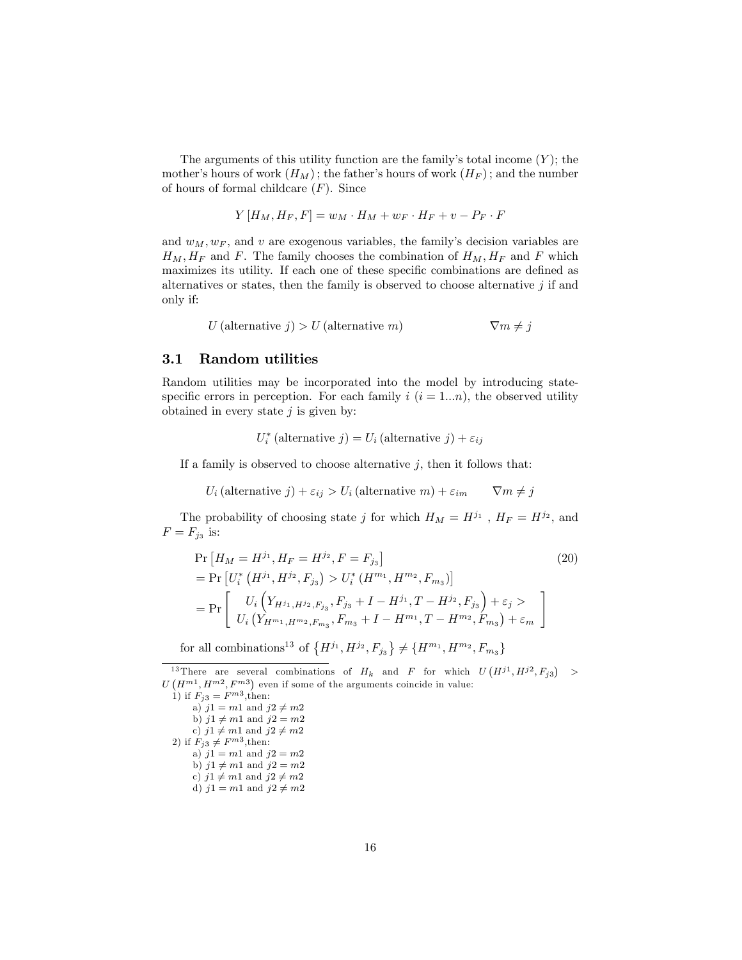The arguments of this utility function are the family's total income  $(Y)$ ; the mother's hours of work  $(H_M)$ ; the father's hours of work  $(H_F)$ ; and the number of hours of formal childcare  $(F)$ . Since

$$
Y[H_M, H_F, F] = w_M \cdot H_M + w_F \cdot H_F + v - P_F \cdot F
$$

and  $w_M, w_F$ , and v are exogenous variables, the family's decision variables are  $H_M, H_F$  and F. The family chooses the combination of  $H_M, H_F$  and F which maximizes its utility. If each one of these specific combinations are defined as alternatives or states, then the family is observed to choose alternative  $j$  if and only if:

$$
U \text{ (alternative } j) > U \text{ (alternative } m) \qquad \qquad \nabla m \neq j
$$

#### 3.1 Random utilities

Random utilities may be incorporated into the model by introducing statespecific errors in perception. For each family  $i$   $(i = 1...n)$ , the observed utility obtained in every state  $j$  is given by:

$$
U_i^*
$$
 (alternative  $j$ ) =  $U_i$  (alternative  $j$ ) +  $\varepsilon_{ij}$ 

If a family is observed to choose alternative  $j$ , then it follows that:

$$
U_i
$$
 (alternative j) +  $\varepsilon_{ij}$  >  $U_i$  (alternative m) +  $\varepsilon_{im}$   $\nabla m \neq j$ 

The probability of choosing state j for which  $H_M = H^{j_1}$ ,  $H_F = H^{j_2}$ , and  $F = F_{j_3}$  is:

$$
\Pr\left[H_M = H^{j_1}, H_F = H^{j_2}, F = F_{j_3}\right]
$$
\n
$$
= \Pr\left[U_i^*\left(H^{j_1}, H^{j_2}, F_{j_3}\right) > U_i^*\left(H^{m_1}, H^{m_2}, F_{m_3}\right)\right]
$$
\n
$$
= \Pr\left[\begin{array}{c} U_i\left(Y_{H^{j_1}, H^{j_2}, F_{j_3}}, F_{j_3} + I - H^{j_1}, T - H^{j_2}, F_{j_3}\right) + \varepsilon_j > \\ U_i\left(Y_{H^{m_1}, H^{m_2}, F_{m_3}}, F_{m_3} + I - H^{m_1}, T - H^{m_2}, F_{m_3}\right) + \varepsilon_m \end{array}\right]
$$
\n(20)

for all combinations<sup>13</sup> of  $\{H^{j_1}, H^{j_2}, F_{j_3}\} \neq \{H^{m_1}, H^{m_2}, F_{m_3}\}$ 

```
1) if F_{j3} = F^{m3}, then:
    a) j1 = m1 and j2 \neq m2b) j1 \neq m1 and j2 = m2c) j1 \neq m1 and j2 \neq m22) if F_{j3} \neq F^{m3}, then:
    a) j1 = m1 and j2 = m2b) j1 \neq m1 and j2 = m2c) j1 \neq m1 and j2 \neq m2d) j1 = m1 and j2 \neq m2
```
<sup>&</sup>lt;sup>13</sup>There are several combinations of  $H_k$  and F for which  $U(H^{j1}, H^{j2}, F_{j3}) >$  $U(H^{m1}, H^{m2}, F^{m3})$  even if some of the arguments coincide in value: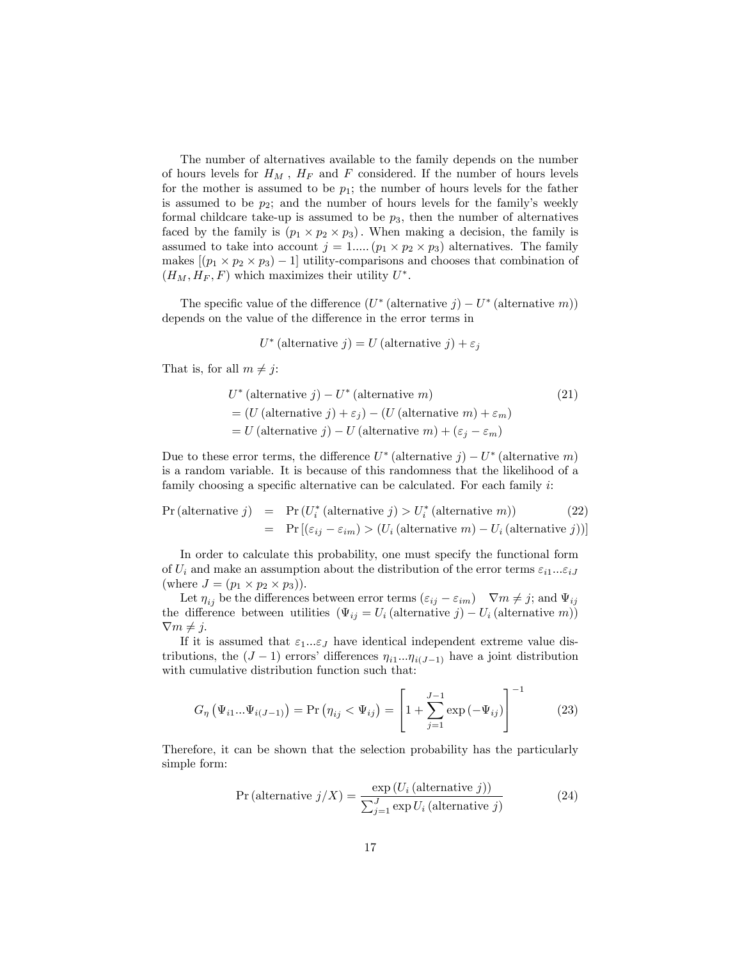The number of alternatives available to the family depends on the number of hours levels for  $H_M$ ,  $H_F$  and F considered. If the number of hours levels for the mother is assumed to be  $p_1$ ; the number of hours levels for the father is assumed to be  $p_2$ ; and the number of hours levels for the family's weekly formal childcare take-up is assumed to be  $p_3$ , then the number of alternatives faced by the family is  $(p_1 \times p_2 \times p_3)$ . When making a decision, the family is assumed to take into account  $j = 1, \ldots (p_1 \times p_2 \times p_3)$  alternatives. The family makes  $[(p_1 \times p_2 \times p_3) - 1]$  utility-comparisons and chooses that combination of  $(H_M, H_F, F)$  which maximizes their utility  $U^*$ .

The specific value of the difference  $(U^*$  (alternative  $j) - U^*$  (alternative  $m$ )) depends on the value of the difference in the error terms in

$$
U^*
$$
 (alternative j) = U (alternative j) +  $\varepsilon_j$ 

That is, for all  $m \neq j$ :

$$
U^* (alternative j) - U^* (alternative m)
$$
\n
$$
= (U (alternative j) + \varepsilon_j) - (U (alternative m) + \varepsilon_m)
$$
\n
$$
= U (alternative j) - U (alternative m) + (\varepsilon_j - \varepsilon_m)
$$
\n(21)

Due to these error terms, the difference  $U^*$  (alternative  $j$ ) –  $U^*$  (alternative  $m$ ) is a random variable. It is because of this randomness that the likelihood of a family choosing a specific alternative can be calculated. For each family  $i$ :

$$
Pr(\text{alternative } j) = Pr(U_i^*(\text{alternative } j) > U_i^*(\text{alternative } m)) \tag{22}
$$
\n
$$
= Pr[(\varepsilon_{ij} - \varepsilon_{im}) > (U_i(\text{alternative } m) - U_i(\text{alternative } j))]
$$

In order to calculate this probability, one must specify the functional form of  $U_i$  and make an assumption about the distribution of the error terms  $\varepsilon_{i1}...\varepsilon_{iJ}$ (where  $J = (p_1 \times p_2 \times p_3)$ ).

Let  $\eta_{ij}$  be the differences between error terms  $(\varepsilon_{ij} - \varepsilon_{im})$   $\nabla m \neq j$ ; and  $\Psi_{ij}$ the difference between utilities  $(\Psi_{ij} = U_i \text{ (alternative } j) - U_i \text{ (alternative } m) )$  $\nabla m \neq j.$ 

If it is assumed that  $\varepsilon_1...\varepsilon_J$  have identical independent extreme value distributions, the  $(J-1)$  errors' differences  $\eta_{i1}...\eta_{i(J-1)}$  have a joint distribution with cumulative distribution function such that:

$$
G_{\eta}(\Psi_{i1}...\Psi_{i(J-1)}) = \Pr(\eta_{ij} < \Psi_{ij}) = \left[1 + \sum_{j=1}^{J-1} \exp(-\Psi_{ij})\right]^{-1} \tag{23}
$$

Therefore, it can be shown that the selection probability has the particularly simple form:

$$
Pr\left(\text{alternative } j/X\right) = \frac{\exp\left(U_i\left(\text{alternative } j\right)\right)}{\sum_{j=1}^J \exp U_i\left(\text{alternative } j\right)}\tag{24}
$$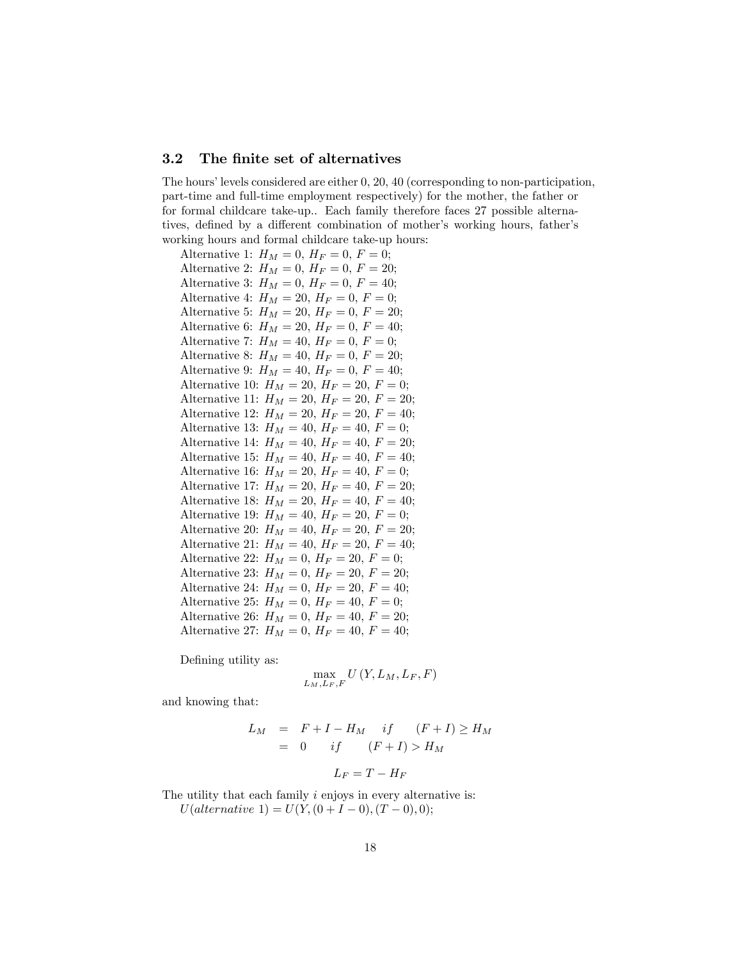#### 3.2 The finite set of alternatives

The hours' levels considered are either  $0, 20, 40$  (corresponding to non-participation, part-time and full-time employment respectively) for the mother, the father or for formal childcare take-up.. Each family therefore faces 27 possible alternatives, defined by a different combination of mother's working hours, father's working hours and formal childcare take-up hours:

Alternative 1:  $H_M = 0, H_F = 0, F = 0;$ Alternative 2:  $H_M = 0, H_F = 0, F = 20;$ Alternative 3:  $H_M = 0, H_F = 0, F = 40;$ Alternative 4:  $H_M = 20, H_F = 0, F = 0;$ Alternative 5:  $H_M = 20, H_F = 0, F = 20;$ Alternative 6:  $H_M = 20, H_F = 0, F = 40;$ Alternative 7:  $H_M = 40, H_F = 0, F = 0;$ Alternative 8:  $H_M = 40, H_F = 0, F = 20;$ Alternative 9:  $H_M = 40, H_F = 0, F = 40;$ Alternative 10:  $H_M = 20, H_F = 20, F = 0;$ Alternative 11:  $H_M = 20, H_F = 20, F = 20;$ Alternative 12:  $H_M = 20, H_F = 20, F = 40;$ Alternative 13:  $H_M = 40, H_F = 40, F = 0;$ Alternative 14:  $H_M = 40, H_F = 40, F = 20;$ Alternative 15:  $H_M = 40, H_F = 40, F = 40;$ Alternative 16:  $H_M = 20, H_F = 40, F = 0;$ Alternative 17:  $H_M = 20, H_F = 40, F = 20;$ Alternative 18:  $H_M = 20, H_F = 40, F = 40;$ Alternative 19:  $H_M = 40, H_F = 20, F = 0;$ Alternative 20:  $H_M = 40, H_F = 20, F = 20;$ Alternative 21:  $H_M = 40, H_F = 20, F = 40;$ Alternative 22:  $H_M = 0, H_F = 20, F = 0;$ Alternative 23:  $H_M = 0, H_F = 20, F = 20;$ Alternative 24:  $H_M = 0, H_F = 20, F = 40;$ Alternative 25:  $H_M = 0, H_F = 40, F = 0;$ Alternative 26:  $H_M = 0$ ,  $H_F = 40$ ,  $F = 20$ ; Alternative 27:  $H_M = 0$ ,  $H_F = 40$ ,  $F = 40$ ;

Defining utility as:

$$
\max_{L_M, L_F, F} U(Y, L_M, L_F, F)
$$

and knowing that:

$$
L_M = F + I - H_M \quad if \quad (F + I) \ge H_M
$$
  
= 0 \quad if \quad (F + I) > H\_M  

$$
L_F = T - H_F
$$

The utility that each family *i* enjoys in every alternative is:  $U(alternative 1) = U(Y, (0 + I - 0), (T - 0), 0);$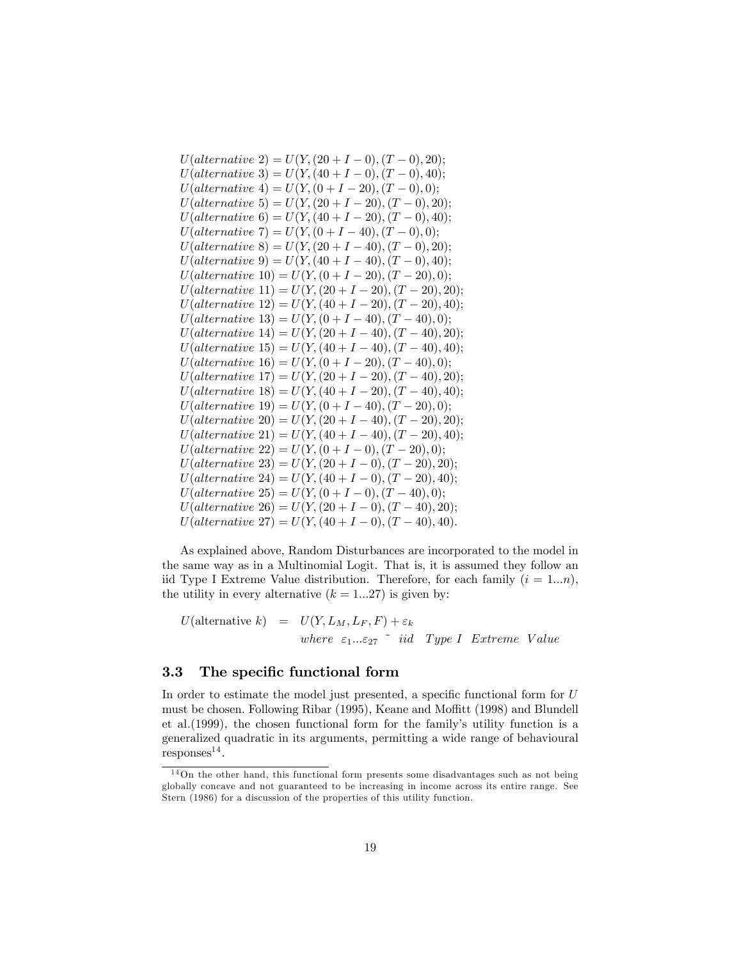$U(alternative 2) = U(Y, (20 + I - 0), (T - 0), 20);$  $U(alternative 3) = U(Y, (40 + I - 0), (T - 0), 40);$  $U(alternative 4) = U(Y, (0 + I - 20), (T - 0), 0);$  $U(alternative 5) = U(Y, (20 + I - 20), (T - 0), 20);$  $U(alternative 6) = U(Y, (40 + I - 20), (T - 0), 40);$  $U(alternative 7) = U(Y, (0 + I - 40), (T - 0), 0);$  $U(alternative 8) = U(Y, (20 + I - 40), (T - 0), 20);$  $U(alternative 9) = U(Y, (40 + I - 40), (T - 0), 40);$  $U(alternative 10) = U(Y, (0+I-20), (T-20), 0);$  $U(alternative 11) = U(Y, (20 + I - 20), (T - 20), 20);$  $U(alternative 12) = U(Y, (40 + I - 20), (T - 20), 40);$  $U(alternative 13) = U(Y, (0 + I - 40), (T - 40), 0);$  $U(alternative 14) = U(Y, (20 + I - 40), (T - 40), 20);$  $U(alternative 15) = U(Y, (40 + I - 40), (T - 40), 40);$  $U(alternative 16) = U(Y, (0+I-20), (T-40), 0);$  $U(alternative 17) = U(Y, (20 + I - 20), (T - 40), 20);$  $U(alternative 18) = U(Y, (40 + I - 20), (T - 40), 40);$  $U(alternative 19) = U(Y, (0 + I - 40), (T - 20), 0);$  $U(alternative 20) = U(Y, (20 + I - 40), (T - 20), 20);$  $U(alternative 21) = U(Y, (40 + I - 40), (T - 20), 40);$  $U(alternative 22) = U(Y, (0 + I - 0), (T - 20), 0);$  $U(alternative 23) = U(Y, (20 + I - 0), (T - 20), 20);$  $U(alternative 24) = U(Y, (40 + I - 0), (T - 20), 40);$  $U(alternative 25) = U(Y, (0 + I - 0), (T - 40), 0);$  $U(alternative 26) = U(Y, (20 + I - 0), (T - 40), 20);$  $U(alternative 27) = U(Y, (40 + I - 0), (T - 40), 40).$ 

As explained above, Random Disturbances are incorporated to the model in the same way as in a Multinomial Logit. That is, it is assumed they follow an iid Type I Extreme Value distribution. Therefore, for each family  $(i = 1...n)$ , the utility in every alternative  $(k = 1...27)$  is given by:

 $U(\text{alternative } k) = U(Y, L_M, L_F, F) + \varepsilon_k$ where  $\varepsilon_1...\varepsilon_{27}$  and Type I Extreme Value

#### 3.3 The specific functional form

In order to estimate the model just presented, a specific functional form for  $U$ must be chosen. Following Ribar (1995), Keane and Moffitt (1998) and Blundell et al. (1999), the chosen functional form for the family's utility function is a generalized quadratic in its arguments, permitting a wide range of behavioural  $respones<sup>14</sup>$ .

 $14$ On the other hand, this functional form presents some disadvantages such as not being globally concave and not guaranteed to be increasing in income across its entire range. See Stern (1986) for a discussion of the properties of this utility function.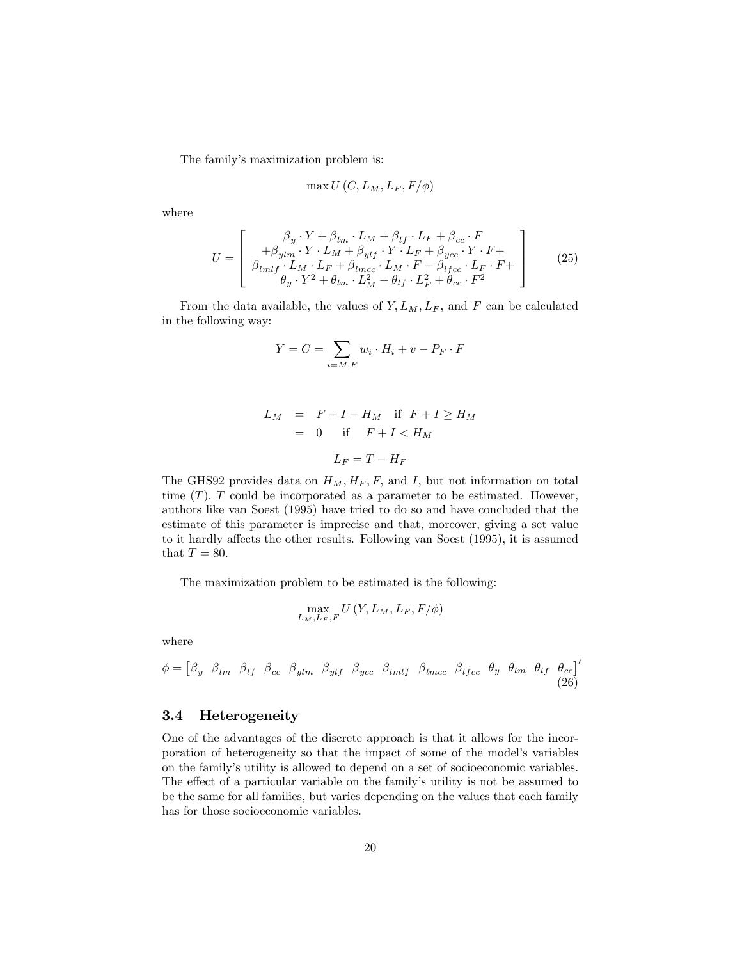The family's maximization problem is:

$$
\max U(C, L_M, L_F, F/\phi)
$$

where

$$
U = \begin{bmatrix} \beta_y \cdot Y + \beta_{lm} \cdot L_M + \beta_{lf} \cdot L_F + \beta_{cc} \cdot F \\ + \beta_{ylm} \cdot Y \cdot L_M + \beta_{ylf} \cdot Y \cdot L_F + \beta_{ycc} \cdot Y \cdot F + \\ \beta_{lmlf} \cdot L_M \cdot L_F + \beta_{lmcc} \cdot L_M \cdot F + \beta_{lfcc} \cdot L_F \cdot F + \\ \theta_y \cdot Y^2 + \theta_{lm} \cdot L_M^2 + \theta_{lf} \cdot L_F^2 + \theta_{cc} \cdot F^2 \end{bmatrix}
$$
(25)

From the data available, the values of  $Y, L_M, L_F$ , and F can be calculated in the following way:

$$
Y = C = \sum_{i=M,F} w_i \cdot H_i + v - P_F \cdot F
$$

$$
L_M = F + I - H_M \quad \text{if } F + I \ge H_M
$$
  
= 0 if  $F + I < H_M$   

$$
L_F = T - H_F
$$

The GHS92 provides data on  $H_M$ ,  $H_F$ ,  $F$ , and  $I$ , but not information on total time  $(T)$ . T could be incorporated as a parameter to be estimated. However, authors like van Soest (1995) have tried to do so and have concluded that the estimate of this parameter is imprecise and that, moreover, giving a set value to it hardly affects the other results. Following van Soest (1995), it is assumed that  $T = 80$ .

The maximization problem to be estimated is the following:

$$
\max_{L_M,L_F,F} U\left(Y,L_M,L_F,F/\phi\right)
$$

where

$$
\phi = \begin{bmatrix} \beta_y & \beta_{lm} & \beta_{lf} & \beta_{cc} & \beta_{ylm} & \beta_{ylf} & \beta_{ycc} & \beta_{lmlf} & \beta_{lmcc} & \beta_{lfcc} & \theta_y & \theta_{lm} & \theta_{lf} & \theta_{cc} \end{bmatrix}' \tag{26}
$$

#### 3.4 Heterogeneity

One of the advantages of the discrete approach is that it allows for the incorporation of heterogeneity so that the impact of some of the model's variables on the familyís utility is allowed to depend on a set of socioeconomic variables. The effect of a particular variable on the family's utility is not be assumed to be the same for all families, but varies depending on the values that each family has for those socioeconomic variables.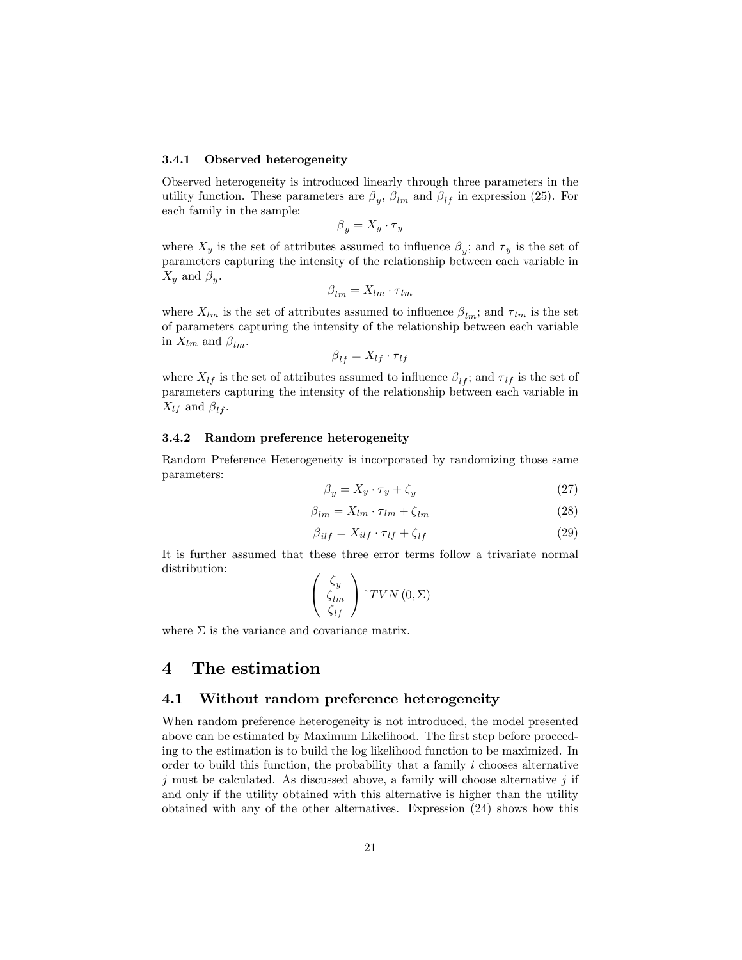#### 3.4.1 Observed heterogeneity

Observed heterogeneity is introduced linearly through three parameters in the utility function. These parameters are  $\beta_y$ ,  $\beta_{lm}$  and  $\beta_{lf}$  in expression (25). For each family in the sample:

$$
\beta_y = X_y \cdot \tau_y
$$

where  $X_y$  is the set of attributes assumed to influence  $\beta_y$ ; and  $\tau_y$  is the set of parameters capturing the intensity of the relationship between each variable in  $X_y$  and  $\beta_y$ .

$$
\beta_{lm} = X_{lm} \cdot \tau_{lm}
$$

where  $X_{lm}$  is the set of attributes assumed to influence  $\beta_{lm}$ ; and  $\tau_{lm}$  is the set of parameters capturing the intensity of the relationship between each variable in  $X_{lm}$  and  $\beta_{lm}$ .

$$
\beta_{lf} = X_{lf} \cdot \tau_{lf}
$$

where  $X_{lf}$  is the set of attributes assumed to influence  $\beta_{lf}$ ; and  $\tau_{lf}$  is the set of parameters capturing the intensity of the relationship between each variable in  $X_{lf}$  and  $\beta_{lf}$ .

#### 3.4.2 Random preference heterogeneity

Random Preference Heterogeneity is incorporated by randomizing those same parameters:

$$
\beta_y = X_y \cdot \tau_y + \zeta_y \tag{27}
$$

$$
\beta_{lm} = X_{lm} \cdot \tau_{lm} + \zeta_{lm} \tag{28}
$$

$$
\beta_{ilf} = X_{ilf} \cdot \tau_{lf} + \zeta_{lf} \tag{29}
$$

It is further assumed that these three error terms follow a trivariate normal distribution:

$$
\left(\begin{array}{c} \zeta_y \\ \zeta_{lm} \\ \zeta_{lf} \end{array}\right){^\sim}TVN\left(0,\Sigma\right)
$$

where  $\Sigma$  is the variance and covariance matrix.

## 4 The estimation

### 4.1 Without random preference heterogeneity

When random preference heterogeneity is not introduced, the model presented above can be estimated by Maximum Likelihood. The first step before proceeding to the estimation is to build the log likelihood function to be maximized. In order to build this function, the probability that a family  $i$  chooses alternative  $j$  must be calculated. As discussed above, a family will choose alternative  $j$  if and only if the utility obtained with this alternative is higher than the utility obtained with any of the other alternatives. Expression (24) shows how this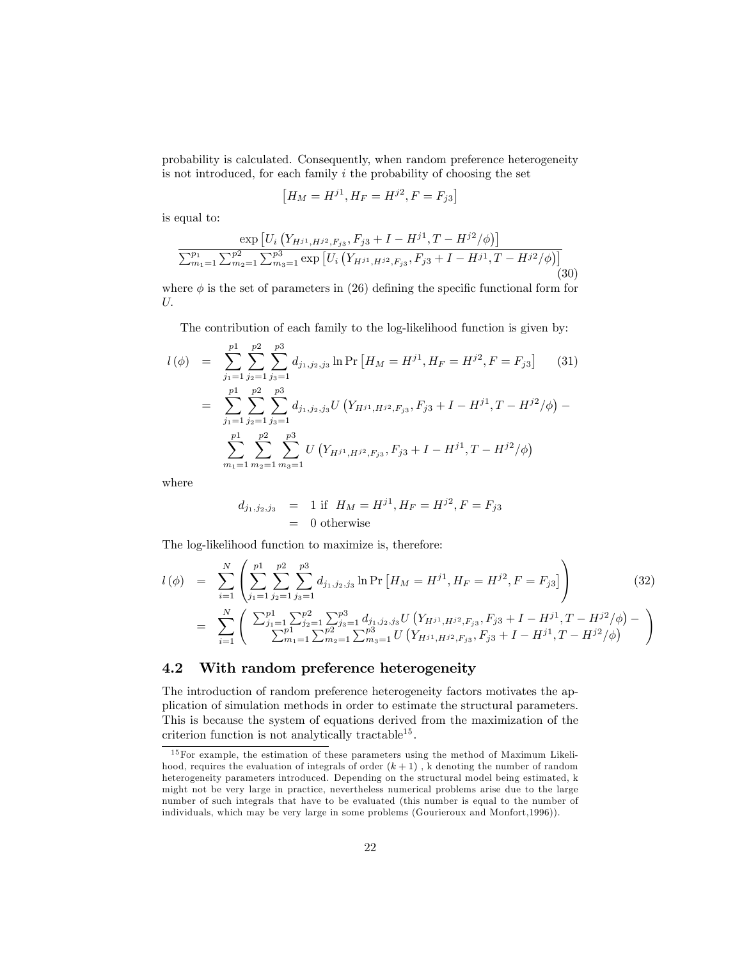probability is calculated. Consequently, when random preference heterogeneity is not introduced, for each family  $i$  the probability of choosing the set

$$
[H_M = H^{j1}, H_F = H^{j2}, F = F_{j3}]
$$

is equal to:

$$
\frac{\exp\left[U_i\left(Y_{H^{j1},H^{j2},F_{j3}},F_{j3}+I-H^{j1},T-H^{j2}/\phi\right)\right]}{\sum_{m_1=1}^{p_1}\sum_{m_2=1}^{p_2}\sum_{m_3=1}^{p_3}\exp\left[U_i\left(Y_{H^{j1},H^{j2},F_{j3}},F_{j3}+I-H^{j1},T-H^{j2}/\phi\right)\right]} \tag{30}
$$

where  $\phi$  is the set of parameters in (26) defining the specific functional form for  $U$ .

The contribution of each family to the log-likelihood function is given by:

$$
l(\phi) = \sum_{j_1=1}^{p_1} \sum_{j_2=1}^{p_2} \sum_{j_3=1}^{p_3} d_{j_1, j_2, j_3} \ln \Pr \left[ H_M = H^{j_1}, H_F = H^{j_2}, F = F_{j_3} \right] \tag{31}
$$
  

$$
= \sum_{j_1=1}^{p_1} \sum_{j_2=1}^{p_2} \sum_{j_3=1}^{p_3} d_{j_1, j_2, j_3} U \left( Y_{H^{j_1}, H^{j_2}, F_{j_3}}, F_{j_3} + I - H^{j_1}, T - H^{j_2} / \phi \right) - \sum_{m_1=1}^{p_1} \sum_{m_2=1}^{p_2} \sum_{m_3=1}^{p_3} U \left( Y_{H^{j_1}, H^{j_2}, F_{j_3}}, F_{j_3} + I - H^{j_1}, T - H^{j_2} / \phi \right)
$$

where

$$
d_{j_1, j_2, j_3} = 1 \text{ if } H_M = H^{j1}, H_F = H^{j2}, F = F_{j3}
$$
  
= 0 otherwise

The log-likelihood function to maximize is, therefore:

$$
l(\phi) = \sum_{i=1}^{N} \left( \sum_{j_1=1}^{p_1} \sum_{j_2=1}^{p_2} \sum_{j_3=1}^{p_3} d_{j_1, j_2, j_3} \ln \Pr \left[ H_M = H^{j_1}, H_F = H^{j_2}, F = F_{j_3} \right] \right)
$$
(32)  

$$
= \sum_{i=1}^{N} \left( \sum_{j_1=1}^{p_1} \sum_{j_2=1}^{p_2} \sum_{j_3=1}^{p_3} d_{j_1, j_2, j_3} U \left( Y_{H^{j_1}, H^{j_2}, F_{j_3}}, F_{j_3} + I - H^{j_1}, T - H^{j_2} / \phi \right) - \sum_{i=1}^{N} \left( \sum_{m_1=1}^{p_1} \sum_{j_2=1}^{p_2} \sum_{j_3=1}^{p_3} U \left( Y_{H^{j_1}, H^{j_2}, F_{j_3}}, F_{j_3} + I - H^{j_1}, T - H^{j_2} / \phi \right) \right)
$$

### 4.2 With random preference heterogeneity

The introduction of random preference heterogeneity factors motivates the application of simulation methods in order to estimate the structural parameters. This is because the system of equations derived from the maximization of the criterion function is not analytically tractable<sup>15</sup>.

<sup>&</sup>lt;sup>15</sup>For example, the estimation of these parameters using the method of Maximum Likelihood, requires the evaluation of integrals of order  $(k+1)$ , k denoting the number of random heterogeneity parameters introduced. Depending on the structural model being estimated, k might not be very large in practice, nevertheless numerical problems arise due to the large number of such integrals that have to be evaluated (this number is equal to the number of individuals, which may be very large in some problems (Gourieroux and Monfort,1996)).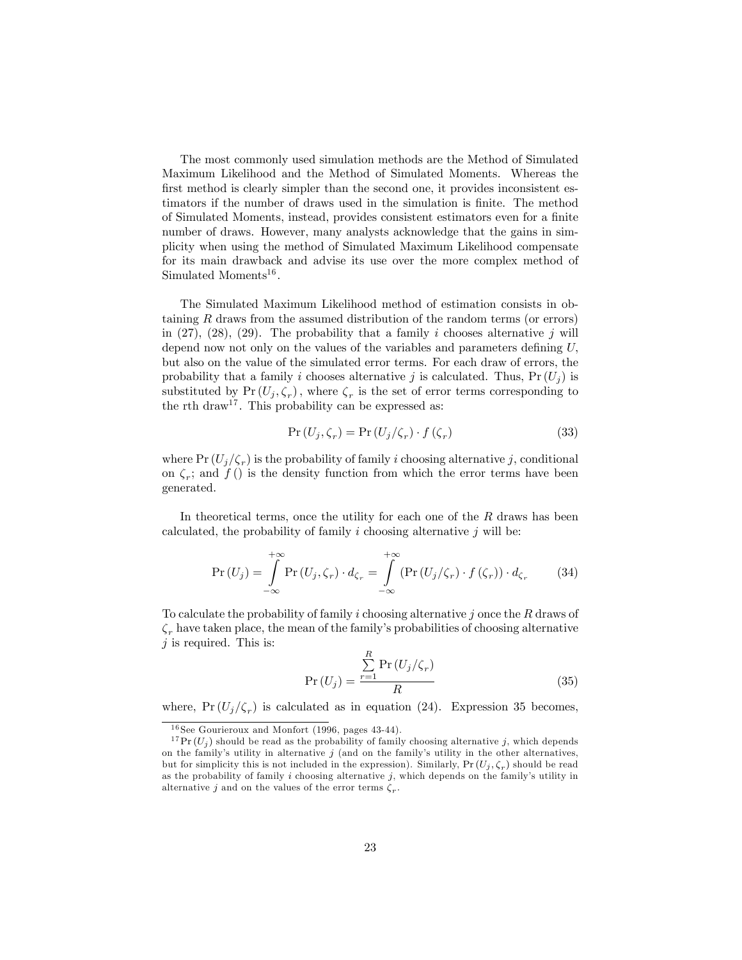The most commonly used simulation methods are the Method of Simulated Maximum Likelihood and the Method of Simulated Moments. Whereas the first method is clearly simpler than the second one, it provides inconsistent estimators if the number of draws used in the simulation is finite. The method of Simulated Moments, instead, provides consistent estimators even for a finite number of draws. However, many analysts acknowledge that the gains in simplicity when using the method of Simulated Maximum Likelihood compensate for its main drawback and advise its use over the more complex method of Simulated Moments<sup>16</sup>.

The Simulated Maximum Likelihood method of estimation consists in obtaining  $R$  draws from the assumed distribution of the random terms (or errors) in  $(27)$ ,  $(28)$ ,  $(29)$ . The probability that a family i chooses alternative j will depend now not only on the values of the variables and parameters defining  $U$ . but also on the value of the simulated error terms. For each draw of errors, the probability that a family i chooses alternative j is calculated. Thus,  $Pr(U_i)$  is substituted by  $Pr(U_j, \zeta_r)$ , where  $\zeta_r$  is the set of error terms corresponding to the rth draw<sup>17</sup>. This probability can be expressed as:

$$
\Pr\left(U_j, \zeta_r\right) = \Pr\left(U_j/\zeta_r\right) \cdot f\left(\zeta_r\right) \tag{33}
$$

where  $Pr(U_j/\zeta_r)$  is the probability of family i choosing alternative j, conditional on  $\zeta_r$ ; and  $f$  () is the density function from which the error terms have been generated.

In theoretical terms, once the utility for each one of the  $R$  draws has been calculated, the probability of family i choosing alternative  $j$  will be:

$$
\Pr\left(U_j\right) = \int_{-\infty}^{+\infty} \Pr\left(U_j, \zeta_r\right) \cdot d_{\zeta_r} = \int_{-\infty}^{+\infty} \left(\Pr\left(U_j/\zeta_r\right) \cdot f\left(\zeta_r\right)\right) \cdot d_{\zeta_r} \tag{34}
$$

To calculate the probability of family i choosing alternative j once the  $R$  draws of  $\zeta_r$  have taken place, the mean of the family's probabilities of choosing alternative  $j$  is required. This is:

$$
Pr(U_j) = \frac{\sum_{r=1}^{R} Pr(U_j/\zeta_r)}{R}
$$
\n(35)

where,  $Pr(U_j/\zeta_r)$  is calculated as in equation (24). Expression 35 becomes,

 $^{16}{\rm{See}}$  Gourieroux and Monfort (1996, pages 43-44).

<sup>&</sup>lt;sup>17</sup> Pr  $(U_i)$  should be read as the probability of family choosing alternative j, which depends on the family's utility in alternative  $j$  (and on the family's utility in the other alternatives, but for simplicity this is not included in the expression). Similarly,  $Pr(U_j, \zeta_r)$  should be read as the probability of family  $i$  choosing alternative  $j$ , which depends on the family's utility in alternative j and on the values of the error terms  $\zeta_r$ .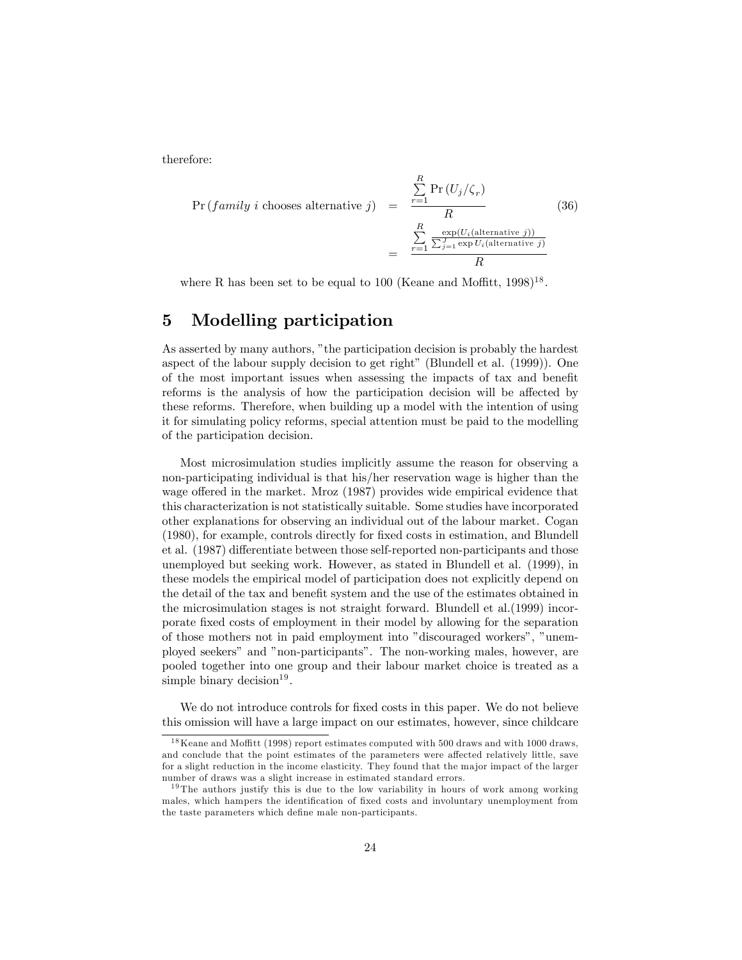therefore:

$$
\Pr(family\ i\ chooses\ alternative\ j) = \frac{\sum_{r=1}^{R} \Pr\left(U_{j}/\zeta_{r}\right)}{R} = \frac{\sum_{r=1}^{R} \frac{\exp\left(U_{i}(\text{alternative}\ j)\right)}{\sum_{j=1}^{J} \exp\left(U_{i}(\text{alternative}\ j)\right)}}{R}
$$
\n(36)

where R has been set to be equal to 100 (Keane and Moffitt,  $1998$ )<sup>18</sup>.

## 5 Modelling participation

As asserted by many authors, "the participation decision is probably the hardest aspect of the labour supply decision to get right" (Blundell et al.  $(1999)$ ). One of the most important issues when assessing the impacts of tax and benefit reforms is the analysis of how the participation decision will be affected by these reforms. Therefore, when building up a model with the intention of using it for simulating policy reforms, special attention must be paid to the modelling of the participation decision.

Most microsimulation studies implicitly assume the reason for observing a non-participating individual is that his/her reservation wage is higher than the wage offered in the market. Mroz (1987) provides wide empirical evidence that this characterization is not statistically suitable. Some studies have incorporated other explanations for observing an individual out of the labour market. Cogan (1980), for example, controls directly for fixed costs in estimation, and Blundell et al. (1987) differentiate between those self-reported non-participants and those unemployed but seeking work. However, as stated in Blundell et al. (1999), in these models the empirical model of participation does not explicitly depend on the detail of the tax and benefit system and the use of the estimates obtained in the microsimulation stages is not straight forward. Blundell et al.(1999) incorporate Öxed costs of employment in their model by allowing for the separation of those mothers not in paid employment into "discouraged workers", "unemployed seekers" and "non-participants". The non-working males, however, are pooled together into one group and their labour market choice is treated as a simple binary decision<sup>19</sup>.

We do not introduce controls for fixed costs in this paper. We do not believe this omission will have a large impact on our estimates, however, since childcare

 $18$  Keane and Moffitt (1998) report estimates computed with 500 draws and with 1000 draws. and conclude that the point estimates of the parameters were affected relatively little, save for a slight reduction in the income elasticity. They found that the ma jor impact of the larger number of draws was a slight increase in estimated standard errors.

<sup>&</sup>lt;sup>19</sup> The authors justify this is due to the low variability in hours of work among working males, which hampers the identification of fixed costs and involuntary unemployment from the taste parameters which define male non-participants.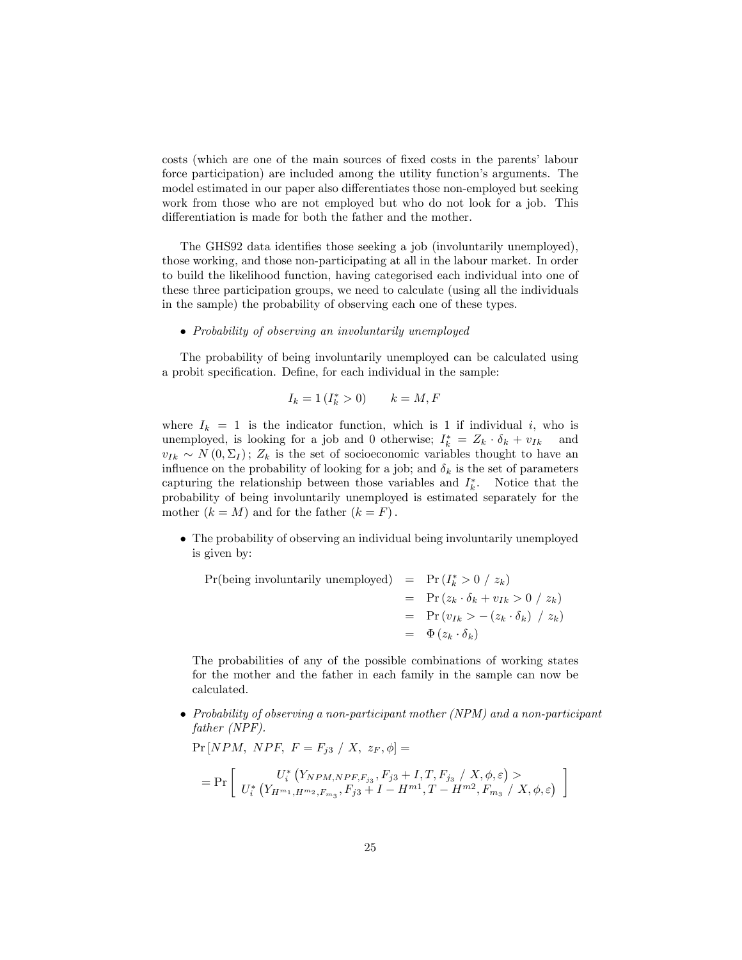costs (which are one of the main sources of fixed costs in the parents' labour force participation) are included among the utility function's arguments. The model estimated in our paper also differentiates those non-employed but seeking work from those who are not employed but who do not look for a job. This differentiation is made for both the father and the mother.

The GHS92 data identifies those seeking a job (involuntarily unemployed), those working, and those non-participating at all in the labour market. In order to build the likelihood function, having categorised each individual into one of these three participation groups, we need to calculate (using all the individuals in the sample) the probability of observing each one of these types.

#### Probability of observing an involuntarily unemployed

The probability of being involuntarily unemployed can be calculated using a probit specification. Define, for each individual in the sample:

$$
I_k = 1 \left( I_k^* > 0 \right) \qquad k = M, F
$$

where  $I_k = 1$  is the indicator function, which is 1 if individual i, who is unemployed, is looking for a job and 0 otherwise;  $I_k^* = Z_k \cdot \delta_k + v_{Ik}$  and  $v_{Ik} \sim N(0,\Sigma_I); Z_k$  is the set of socioeconomic variables thought to have an influence on the probability of looking for a job; and  $\delta_k$  is the set of parameters capturing the relationship between those variables and  $I_k^*$ . Notice that the probability of being involuntarily unemployed is estimated separately for the mother  $(k = M)$  and for the father  $(k = F)$ .

 The probability of observing an individual being involuntarily unemployed is given by:

 $Pr(\text{being involuntarily unemployed}) = Pr(I^*_{k} > 0 / z_k)$  $= \Pr(z_k \cdot \delta_k + v_{1k} > 0 / z_k)$  $= \Pr(v_{Ik} > -(z_k \cdot \delta_k) / z_k)$  $= \Phi(z_k \cdot \delta_k)$ 

The probabilities of any of the possible combinations of working states for the mother and the father in each family in the sample can now be calculated.

 Probability of observing a non-participant mother (NPM) and a non-participant father (NPF).

1

$$
\Pr[NPM, NPF, F = F_{j3} / X, z_F, \phi] =
$$
\n
$$
= \Pr \left[ \begin{array}{c} U_i^* \left( Y_{NPM, NPF, F_{j3}}, F_{j3} + I, T, F_{j3} / X, \phi, \varepsilon \right) > \\ U_i^* \left( Y_{H^{m_1}, H^{m_2}, F_{m_3}}, F_{j3} + I - H^{m_1}, T - H^{m_2}, F_{m_3} / X, \phi, \varepsilon \right) \end{array} \right]
$$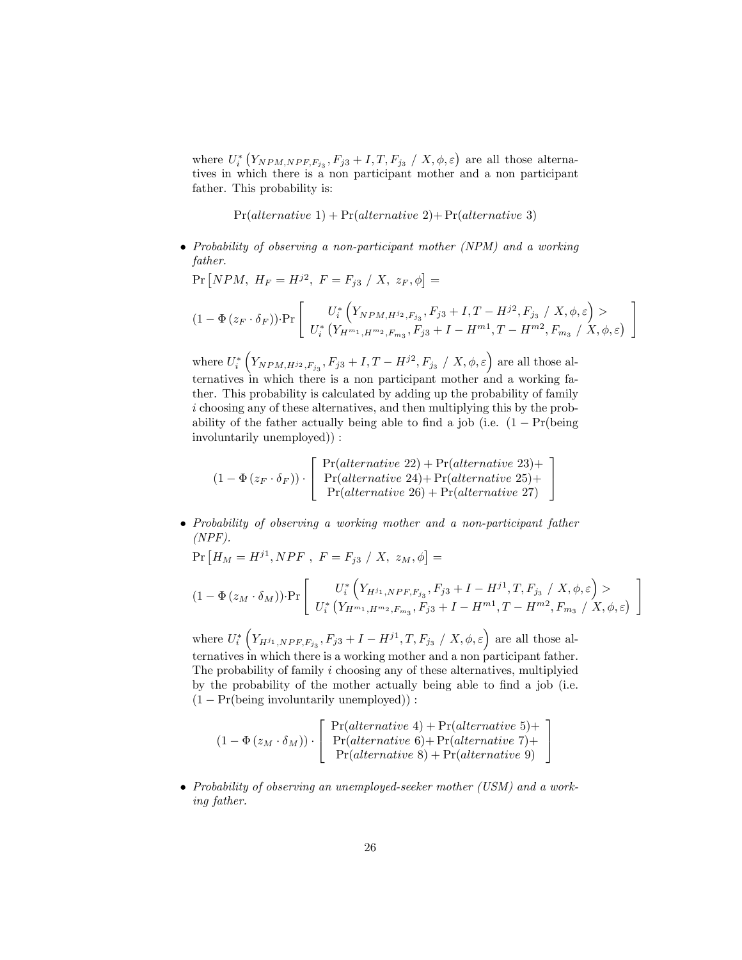where  $U_i^*$   $(Y_{NPM, NPF, F_{j_3}}, F_{j3}+I, T, F_{j_3}/X, \phi, \varepsilon)$  are all those alternatives in which there is a non participant mother and a non participant father. This probability is:

 $Pr(alternative 1) + Pr(alternative 2) + Pr(alternative 3)$ 

 Probability of observing a non-participant mother (NPM) and a working father.

$$
\Pr\left[NPM, H_F = H^{j2}, F = F_{j3} / X, z_F, \phi\right] =
$$
\n
$$
(1 - \Phi(z_F \cdot \delta_F)) \cdot \Pr\left[\n\begin{array}{c}\nU_i^* \left(Y_{NPM, H^{j_2}, F_{j_3}}, F_{j3} + I, T - H^{j2}, F_{j_3} / X, \phi, \varepsilon\right) > \\
U_i^* \left(Y_{H^{m_1}, H^{m_2}, F_{m_3}}, F_{j3} + I - H^{m_1}, T - H^{m_2}, F_{m_3} / X, \phi, \varepsilon\right)\n\end{array}\n\right]
$$

1

3  $\overline{1}$ 

3  $\mathbf{1}$ 

where  $U^*_i\left(Y_{NPM,H^{j_2},F_{j_3}},F_{j3}+I,T-H^{j2},F_{j_3}\ /\ X,\phi,\varepsilon\right)$  are all those alternatives in which there is a non participant mother and a working father. This probability is calculated by adding up the probability of family i choosing any of these alternatives, and then multiplying this by the probability of the father actually being able to find a job (i.e.  $(1 - Pr(\text{being}$ ) involuntarily unemployed)) :

$$
(1 - \Phi(z_F \cdot \delta_F)) \cdot \left[ \begin{array}{c} \Pr(alternative\ 22) + \Pr(alternative\ 23) + \\ \Pr(alternative\ 24) + \Pr(alternative\ 25) + \\ \Pr(alternative\ 26) + \Pr(alternative\ 27) \end{array} \right]
$$

 Probability of observing a working mother and a non-participant father  $(NPF)$ .

 $Pr[H_M = H^{j1}, NPF, F = F_{j3} / X, z_M, \phi] =$ 

$$
(1 - \Phi(z_M \cdot \delta_M)) \cdot \Pr \left[ \begin{array}{c} U_i^* \left( Y_{H^{j_1}, NPF, F_{j_3}}, F_{j3} + I - H^{j1}, T, F_{j_3} \ / \ X, \phi, \varepsilon \right) > \\ U_i^* \left( Y_{H^{m_1}, H^{m_2}, F_{m_3}}, F_{j3} + I - H^{m1}, T - H^{m2}, F_{m_3} \ / \ X, \phi, \varepsilon \right) \end{array} \right]
$$

where  $U_i^*$   $(Y_{H^{j_1}, NPF, F_{j_3}}, F_{j3} + I - H^{j1}, T, F_{j_3} / X, \phi, \varepsilon)$  are all those alternatives in which there is a working mother and a non participant father. The probability of family  $i$  choosing any of these alternatives, multiplyied by the probability of the mother actually being able to find a job (i.e.  $(1 - Pr(\text{being involuntarily unemployed})):$ 

$$
(1 - \Phi(z_M \cdot \delta_M)) \cdot \left[ \begin{array}{c} \Pr(alternative 4) + \Pr(alternative 5) + \\ \Pr(alternative 6) + \Pr(alternative 7) + \\ \Pr(alternative 8) + \Pr(alternative 9) \end{array} \right]
$$

• Probability of observing an unemployed-seeker mother (USM) and a working father.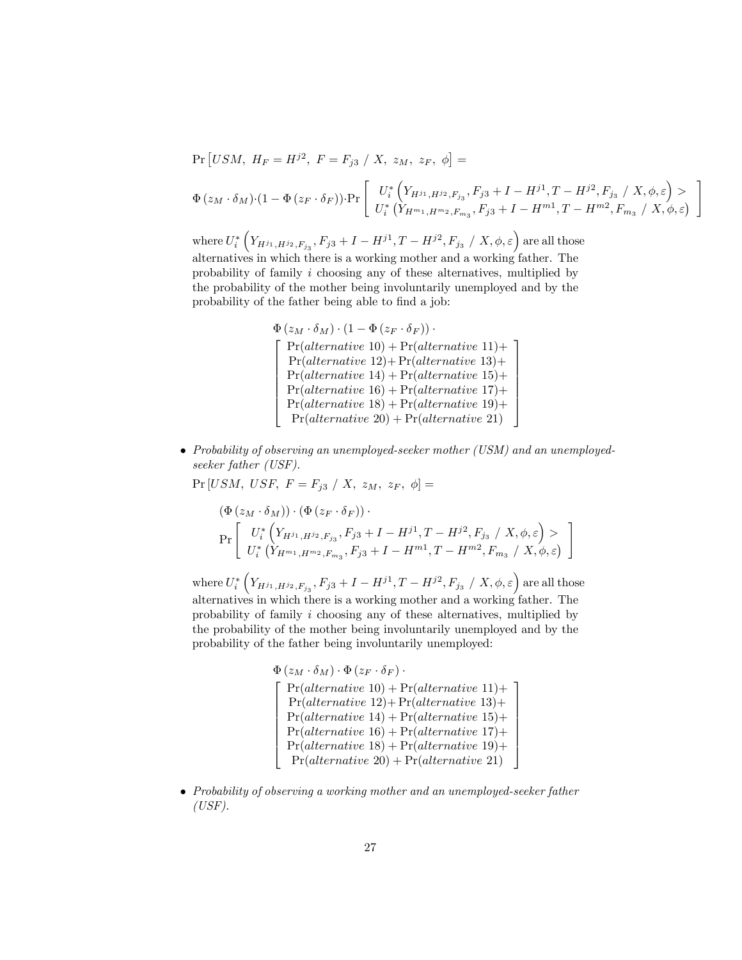$$
\Pr\left[USM, H_F = H^{j2}, F = F_{j3} / X, z_M, z_F, \phi\right] =
$$
\n
$$
\Phi(z_M \cdot \delta_M) \cdot (1 - \Phi(z_F \cdot \delta_F)) \cdot \Pr\left[\begin{array}{c} U_i^* \left(Y_{H^{j_1}, H^{j_2}, F_{j_3}}, F_{j3} + I - H^{j1}, T - H^{j2}, F_{j_3} / X, \phi, \varepsilon\right) > \\ U_i^* \left(Y_{H^{m_1}, H^{m_2}, F_{m_3}}, F_{j3} + I - H^{m1}, T - H^{m2}, F_{m_3} / X, \phi, \varepsilon\right)\end{array}\right]
$$

where  $U^*_i\left(Y_{H^{j_1},H^{j_2},F_{j_3}},F_{j3}+I-H^{j1},T-H^{j2},F_{j_3}\ /\ X,\phi,\varepsilon\right)$  are all those alternatives in which there is a working mother and a working father. The probability of family i choosing any of these alternatives, multiplied by the probability of the mother being involuntarily unemployed and by the probability of the father being able to find a job:

- $\Phi\left(z_M\cdot \delta_M\right)\cdot\left(1-\Phi\left(z_F\cdot \delta_F\right)\right)\cdot$  $\sqrt{2}$  $\begin{array}{c|c} \hline \end{array}$  $Pr(alternative 10) + Pr(alternative 11) +$  $Pr(alternative 12) + Pr(alternative 13) +$  $Pr(alternative 14) + Pr(alternative 15) +$  $Pr(alternative 16) + Pr(alternative 17) +$  $Pr(alternative 18) + Pr(alternative 19) +$  $Pr(alternative 20) + Pr(alternative 21)$ 1  $\mathbf{1}$  $\overline{1}$  $\overline{1}$  $\overline{1}$  $\overline{1}$  $\mathbf{r}$  $\overline{1}$
- Probability of observing an unemployed-seeker mother (USM) and an unemployedseeker father (USF).

 $Pr [USM, \textit{USF}, \textit{F} = F_{j3} / X, \textit{z}_M, \textit{z}_F, \phi] =$  $(\Phi(x, \xi)) (\Phi(x, \xi))$ 

$$
\Pr\left[\begin{array}{c} U_i^* \left(Y_{H^{j_1}, H^{j_2}, F_{j_3}}, F_{j3} + I - H^{j1}, T - H^{j2}, F_{j_3} / X, \phi, \varepsilon\right) > \\ U_i^* \left(Y_{H^{m_1}, H^{m_2}, F_{m_3}}, F_{j3} + I - H^{m1}, T - H^{m2}, F_{m_3} / X, \phi, \varepsilon\right) \end{array}\right]
$$

where  $U^*_i\left(Y_{H^{j_1},H^{j_2},F_{j_3}},F_{j3}+I-H^{j1},T-H^{j2},F_{j_3}\ /\ X,\phi,\varepsilon\right)$  are all those alternatives in which there is a working mother and a working father. The probability of family i choosing any of these alternatives, multiplied by the probability of the mother being involuntarily unemployed and by the probability of the father being involuntarily unemployed:

$$
\Phi(z_M \cdot \delta_M) \cdot \Phi(z_F \cdot \delta_F) \cdot
$$
\n
$$
\left\{\n\begin{array}{l}\n\Pr(alternative 10) + \Pr(alternative 11) + \\
\Pr(alternative 12) + \Pr(alternative 13) + \\
\Pr(alternative 14) + \Pr(alternative 15) + \\
\Pr(alternative 16) + \Pr(alternative 17) + \\
\Pr(alternative 18) + \Pr(alternative 19) + \\
\Pr(alternative 20) + \Pr(alternative 21)\n\end{array}\n\right\}
$$

• Probability of observing a working mother and an unemployed-seeker father  $(USF).$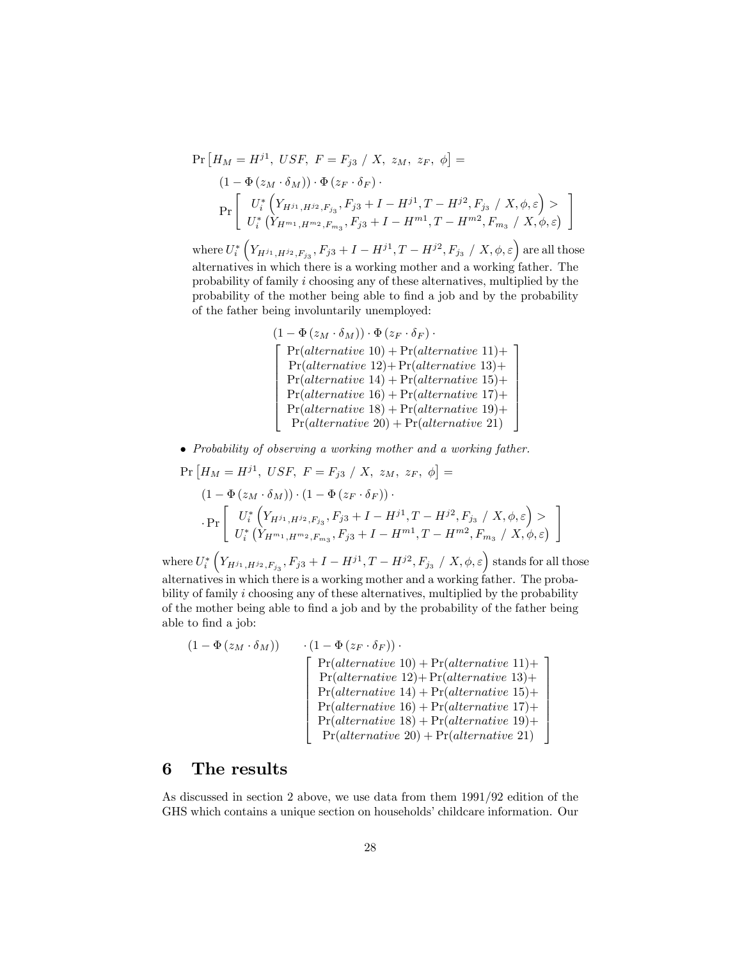$$
\Pr\left[H_M = H^{j1}, \; USF, \; F = F_{j3} \; / \; X, \; z_M, \; z_F, \; \phi\right] =
$$
\n
$$
(1 - \Phi\left(z_M \cdot \delta_M\right)) \cdot \Phi\left(z_F \cdot \delta_F\right).
$$
\n
$$
\Pr\left[\begin{array}{c} U_i^* \left(Y_{H^{j_1}, H^{j_2}, F_{j_3}}, F_{j3} + I - H^{j1}, T - H^{j2}, F_{j_3} \; / \; X, \phi, \varepsilon\right) > \\ U_i^* \left(Y_{H^{m_1}, H^{m_2}, F_{m_3}}, F_{j3} + I - H^{m1}, T - H^{m2}, F_{m_3} \; / \; X, \phi, \varepsilon\right)\end{array}\right]
$$

where  $U^*_i\left(Y_{H^{j_1},H^{j_2},F_{j_3}},F_{j3}+I-H^{j1},T-H^{j2},F_{j_3}\ /\ X,\phi,\varepsilon\right)$  are all those alternatives in which there is a working mother and a working father. The probability of family i choosing any of these alternatives, multiplied by the probability of the mother being able to find a job and by the probability of the father being involuntarily unemployed:

$$
(1 - \Phi (z_M \cdot \delta_M)) \cdot \Phi (z_F \cdot \delta_F) \cdot
$$
\n
$$
\left\{\n\begin{array}{l}\n\Pr(alternative 10) + \Pr(alternative 11) + \\
\Pr(alternative 12) + \Pr(alternative 13) + \\
\Pr(alternative 14) + \Pr(alternative 15) + \\
\Pr(alternative 16) + \Pr(alternative 17) + \\
\Pr(alternative 18) + \Pr(alternative 19) + \\
\Pr(alternative 20) + \Pr(alternative 21)\n\end{array}\n\right\}
$$

• Probability of observing a working mother and a working father.<br> $P_{\mathbf{F}}[H_{\mathbf{F}}] = H\mathbf{i} \mathbf{i} + I\mathbf{f} S\mathbf{F} + \mathbf{F} = \mathbf{F}_{\mathbf{F}}[I\mathbf{F} - \mathbf{F}_{\mathbf{F}}] + \mathbf{F} = \mathbf{F}_{\mathbf{F}}[I\mathbf{F} - \mathbf{F}_{\mathbf{F}}] = \mathbf{F}[\mathbf{F} - \mathbf{F}_{\mathbf{F$ 

$$
\Pr\left[H_M = H^{j1}, \; USF, \; F = F_{j3} \; / \; X, \; z_M, \; z_F, \; \phi\right] =
$$
\n
$$
(1 - \Phi(z_M \cdot \delta_M)) \cdot (1 - \Phi(z_F \cdot \delta_F)) \cdot
$$
\n
$$
\Pr\left[\begin{array}{c} U_i^* \left(Y_{H^{j_1}, H^{j_2}, F_{j_3}, F_{j3} + I - H^{j1}, T - H^{j2}, F_{j_3} \; / \; X, \phi, \varepsilon\right) > \\ U_i^* \left(Y_{H^{m_1}, H^{m_2}, F_{m_3}, F_{j3} + I - H^{m1}, T - H^{m2}, F_{m_3} \; / \; X, \phi, \varepsilon\right) \end{array}\right]
$$

where  $U^*_i\left(Y_{H^{j_1},H^{j_2},F_{j_3}},F_{j3}+I-H^{j1},T-H^{j2},F_{j_3}\ /\ X,\phi,\varepsilon\right)$  stands for all those alternatives in which there is a working mother and a working father. The probability of family i choosing any of these alternatives, multiplied by the probability of the mother being able to Önd a job and by the probability of the father being able to find a job:

$$
(1 - \Phi(z_M \cdot \delta_M)) \qquad (1 - \Phi(z_F \cdot \delta_F)) \cdot
$$
\n
$$
\begin{bmatrix}\n\Pr(alternative 10) + \Pr(alternative 11) + \Pr(alternative 13) + \Pr(alternative 14) + \Pr(alternative 15) + \Pr(alternative 16) + \Pr(alternative 17) + \Pr(alternative 18) + \Pr(alternative 20) + \Pr(alternative 21)\n\end{bmatrix}
$$

## 6 The results

As discussed in section 2 above, we use data from them 1991/92 edition of the GHS which contains a unique section on households' childcare information. Our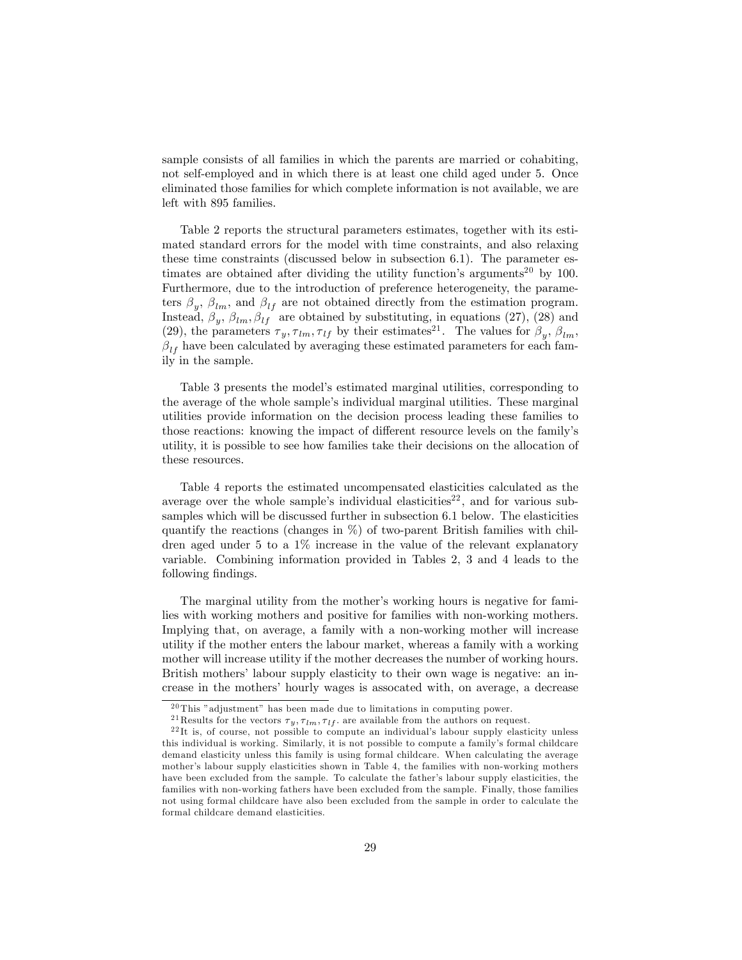sample consists of all families in which the parents are married or cohabiting, not self-employed and in which there is at least one child aged under 5. Once eliminated those families for which complete information is not available, we are left with 895 families.

Table 2 reports the structural parameters estimates, together with its estimated standard errors for the model with time constraints, and also relaxing these time constraints (discussed below in subsection 6.1). The parameter estimates are obtained after dividing the utility function's arguments<sup>20</sup> by 100. Furthermore, due to the introduction of preference heterogeneity, the parameters  $\beta_y$ ,  $\beta_{lm}$ , and  $\beta_{lf}$  are not obtained directly from the estimation program. Instead,  $\beta_y$ ,  $\beta_{lm}$ ,  $\beta_{lf}$  are obtained by substituting, in equations (27), (28) and (29), the parameters  $\tau_y, \tau_{lm}, \tau_{lf}$  by their estimates<sup>21</sup>. The values for  $\beta_y, \beta_{lm}$ ,  $\beta_{lf}$  have been calculated by averaging these estimated parameters for each family in the sample.

Table 3 presents the model's estimated marginal utilities, corresponding to the average of the whole sample's individual marginal utilities. These marginal utilities provide information on the decision process leading these families to those reactions: knowing the impact of different resource levels on the family's utility, it is possible to see how families take their decisions on the allocation of these resources.

Table 4 reports the estimated uncompensated elasticities calculated as the average over the whole sample's individual elasticities<sup>22</sup>, and for various subsamples which will be discussed further in subsection 6.1 below. The elasticities quantify the reactions (changes in  $\%$ ) of two-parent British families with children aged under 5 to a 1% increase in the value of the relevant explanatory variable. Combining information provided in Tables 2, 3 and 4 leads to the following findings.

The marginal utility from the mother's working hours is negative for families with working mothers and positive for families with non-working mothers. Implying that, on average, a family with a non-working mother will increase utility if the mother enters the labour market, whereas a family with a working mother will increase utility if the mother decreases the number of working hours. British mothers' labour supply elasticity to their own wage is negative: an increase in the mothersí hourly wages is assocated with, on average, a decrease

 $20$  This "adjustment" has been made due to limitations in computing power.

<sup>&</sup>lt;sup>21</sup> Results for the vectors  $\tau_y$ ,  $\tau_{lm}$ ,  $\tau_{lf}$ . are available from the authors on request.

 $22$ It is, of course, not possible to compute an individual's labour supply elasticity unless this individual is working. Similarly, it is not possible to compute a familyís formal childcare demand elasticity unless this family is using formal childcare. When calculating the average mother's labour supply elasticities shown in Table 4, the families with non-working mothers have been excluded from the sample. To calculate the father's labour supply elasticities, the families with non-working fathers have been excluded from the sample. Finally, those families not using formal childcare have also been excluded from the sample in order to calculate the formal childcare demand elasticities.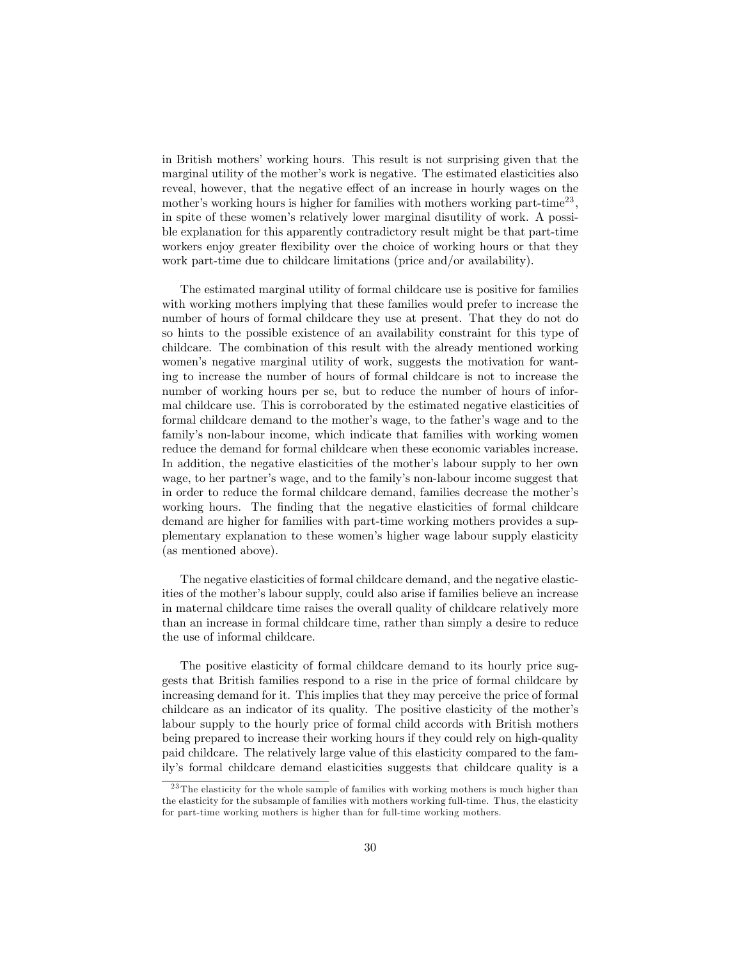in British mothers' working hours. This result is not surprising given that the marginal utility of the mother's work is negative. The estimated elasticities also reveal, however, that the negative effect of an increase in hourly wages on the mother's working hours is higher for families with mothers working part-time<sup>23</sup>, in spite of these womenís relatively lower marginal disutility of work. A possible explanation for this apparently contradictory result might be that part-time workers enjoy greater flexibility over the choice of working hours or that they work part-time due to childcare limitations (price and/or availability).

The estimated marginal utility of formal childcare use is positive for families with working mothers implying that these families would prefer to increase the number of hours of formal childcare they use at present. That they do not do so hints to the possible existence of an availability constraint for this type of childcare. The combination of this result with the already mentioned working women's negative marginal utility of work, suggests the motivation for wanting to increase the number of hours of formal childcare is not to increase the number of working hours per se, but to reduce the number of hours of informal childcare use. This is corroborated by the estimated negative elasticities of formal childcare demand to the mother's wage, to the father's wage and to the family's non-labour income, which indicate that families with working women reduce the demand for formal childcare when these economic variables increase. In addition, the negative elasticities of the mother's labour supply to her own wage, to her partner's wage, and to the family's non-labour income suggest that in order to reduce the formal childcare demand, families decrease the mother's working hours. The finding that the negative elasticities of formal childcare demand are higher for families with part-time working mothers provides a supplementary explanation to these womenís higher wage labour supply elasticity (as mentioned above).

The negative elasticities of formal childcare demand, and the negative elasticities of the mother's labour supply, could also arise if families believe an increase in maternal childcare time raises the overall quality of childcare relatively more than an increase in formal childcare time, rather than simply a desire to reduce the use of informal childcare.

The positive elasticity of formal childcare demand to its hourly price suggests that British families respond to a rise in the price of formal childcare by increasing demand for it. This implies that they may perceive the price of formal childcare as an indicator of its quality. The positive elasticity of the motherís labour supply to the hourly price of formal child accords with British mothers being prepared to increase their working hours if they could rely on high-quality paid childcare. The relatively large value of this elasticity compared to the family's formal childcare demand elasticities suggests that childcare quality is a

<sup>&</sup>lt;sup>23</sup> The elasticity for the whole sample of families with working mothers is much higher than the elasticity for the subsample of families with mothers working full-time. Thus, the elasticity for part-time working mothers is higher than for full-time working mothers.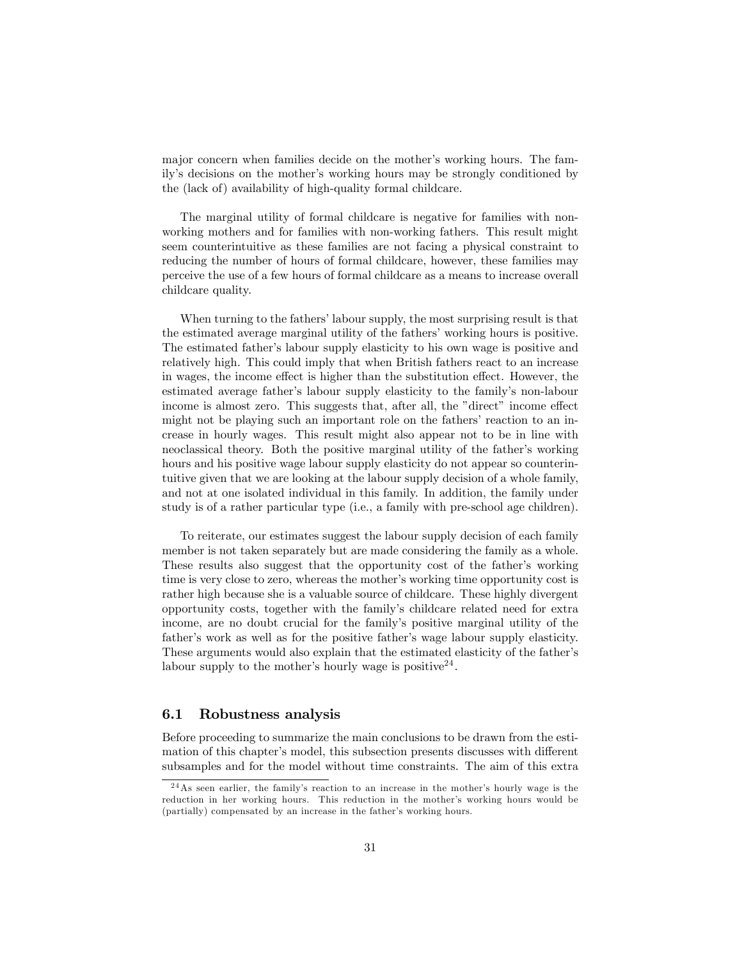major concern when families decide on the mother's working hours. The family's decisions on the mother's working hours may be strongly conditioned by the (lack of) availability of high-quality formal childcare.

The marginal utility of formal childcare is negative for families with nonworking mothers and for families with non-working fathers. This result might seem counterintuitive as these families are not facing a physical constraint to reducing the number of hours of formal childcare, however, these families may perceive the use of a few hours of formal childcare as a means to increase overall childcare quality.

When turning to the fathers' labour supply, the most surprising result is that the estimated average marginal utility of the fathers' working hours is positive. The estimated father's labour supply elasticity to his own wage is positive and relatively high. This could imply that when British fathers react to an increase in wages, the income effect is higher than the substitution effect. However, the estimated average father's labour supply elasticity to the family's non-labour income is almost zero. This suggests that, after all, the "direct" income effect might not be playing such an important role on the fathers' reaction to an increase in hourly wages. This result might also appear not to be in line with neoclassical theory. Both the positive marginal utility of the father's working hours and his positive wage labour supply elasticity do not appear so counterintuitive given that we are looking at the labour supply decision of a whole family, and not at one isolated individual in this family. In addition, the family under study is of a rather particular type (i.e., a family with pre-school age children).

To reiterate, our estimates suggest the labour supply decision of each family member is not taken separately but are made considering the family as a whole. These results also suggest that the opportunity cost of the father's working time is very close to zero, whereas the mother's working time opportunity cost is rather high because she is a valuable source of childcare. These highly divergent opportunity costs, together with the familyís childcare related need for extra income, are no doubt crucial for the familyís positive marginal utility of the father's work as well as for the positive father's wage labour supply elasticity. These arguments would also explain that the estimated elasticity of the father's labour supply to the mother's hourly wage is positive<sup>24</sup>.

#### 6.1 Robustness analysis

Before proceeding to summarize the main conclusions to be drawn from the estimation of this chapter's model, this subsection presents discusses with different subsamples and for the model without time constraints. The aim of this extra

<sup>&</sup>lt;sup>24</sup>As seen earlier, the family's reaction to an increase in the mother's hourly wage is the reduction in her working hours. This reduction in the mother's working hours would be (partially) compensated by an increase in the father's working hours.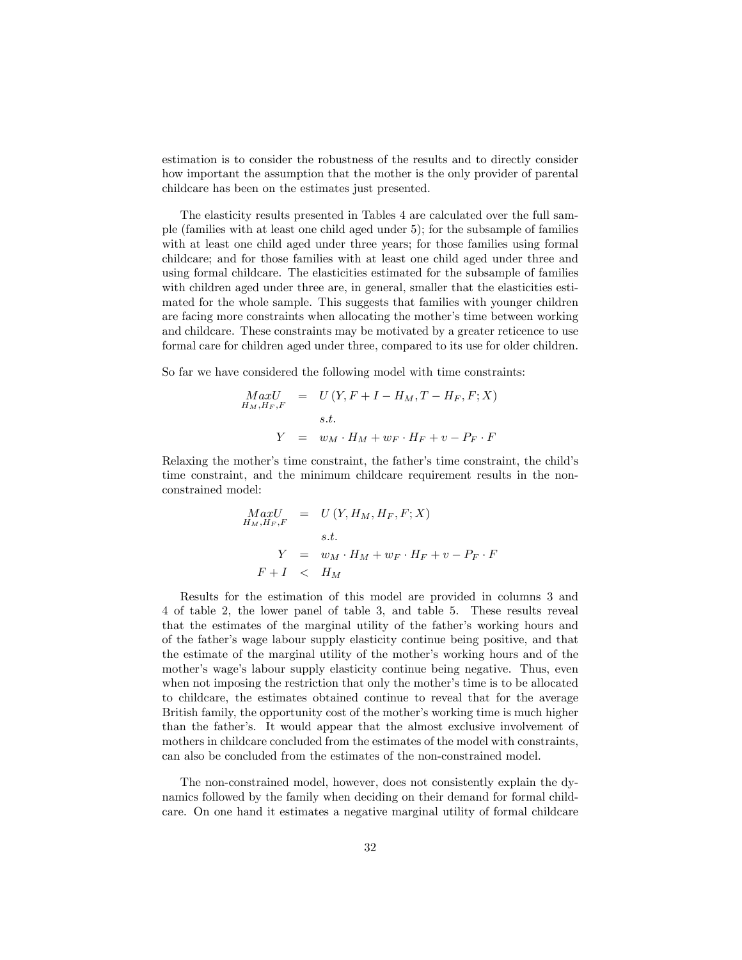estimation is to consider the robustness of the results and to directly consider how important the assumption that the mother is the only provider of parental childcare has been on the estimates just presented.

The elasticity results presented in Tables 4 are calculated over the full sample (families with at least one child aged under 5); for the subsample of families with at least one child aged under three years; for those families using formal childcare; and for those families with at least one child aged under three and using formal childcare. The elasticities estimated for the subsample of families with children aged under three are, in general, smaller that the elasticities estimated for the whole sample. This suggests that families with younger children are facing more constraints when allocating the mother's time between working and childcare. These constraints may be motivated by a greater reticence to use formal care for children aged under three, compared to its use for older children.

So far we have considered the following model with time constraints:

$$
MaxU
$$
  
\n
$$
H_M,H_F,F
$$
  
\n
$$
= U(Y, F + I - H_M, T - H_F, F; X)
$$
  
\n
$$
s.t.
$$
  
\n
$$
Y = w_M \cdot H_M + w_F \cdot H_F + v - P_F \cdot F
$$

Relaxing the mother's time constraint, the father's time constraint, the child's time constraint, and the minimum childcare requirement results in the nonconstrained model:

$$
MaxU
$$
  
\n
$$
H_{M}, H_{F}, F
$$
  
\n
$$
= U(Y, H_{M}, H_{F}, F; X)
$$
  
\n
$$
s.t.
$$
  
\n
$$
Y = w_{M} \cdot H_{M} + w_{F} \cdot H_{F} + v - P_{F} \cdot F
$$
  
\n
$$
F + I < H_{M}
$$

Results for the estimation of this model are provided in columns 3 and 4 of table 2, the lower panel of table 3, and table 5. These results reveal that the estimates of the marginal utility of the father's working hours and of the father's wage labour supply elasticity continue being positive, and that the estimate of the marginal utility of the mother's working hours and of the mother's wage's labour supply elasticity continue being negative. Thus, even when not imposing the restriction that only the mother's time is to be allocated to childcare, the estimates obtained continue to reveal that for the average British family, the opportunity cost of the mother's working time is much higher than the father's. It would appear that the almost exclusive involvement of mothers in childcare concluded from the estimates of the model with constraints, can also be concluded from the estimates of the non-constrained model.

The non-constrained model, however, does not consistently explain the dynamics followed by the family when deciding on their demand for formal childcare. On one hand it estimates a negative marginal utility of formal childcare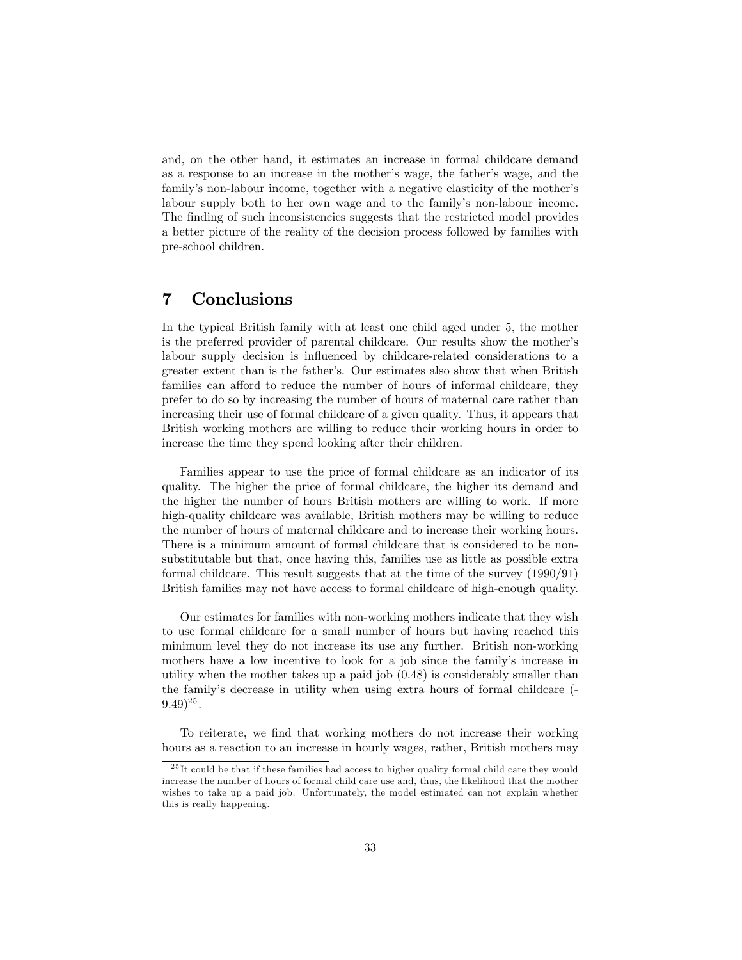and, on the other hand, it estimates an increase in formal childcare demand as a response to an increase in the mother's wage, the father's wage, and the family's non-labour income, together with a negative elasticity of the mother's labour supply both to her own wage and to the family's non-labour income. The finding of such inconsistencies suggests that the restricted model provides a better picture of the reality of the decision process followed by families with pre-school children.

## 7 Conclusions

In the typical British family with at least one child aged under 5, the mother is the preferred provider of parental childcare. Our results show the motherís labour supply decision is influenced by childcare-related considerations to a greater extent than is the fatherís. Our estimates also show that when British families can afford to reduce the number of hours of informal childcare, they prefer to do so by increasing the number of hours of maternal care rather than increasing their use of formal childcare of a given quality. Thus, it appears that British working mothers are willing to reduce their working hours in order to increase the time they spend looking after their children.

Families appear to use the price of formal childcare as an indicator of its quality. The higher the price of formal childcare, the higher its demand and the higher the number of hours British mothers are willing to work. If more high-quality childcare was available, British mothers may be willing to reduce the number of hours of maternal childcare and to increase their working hours. There is a minimum amount of formal childcare that is considered to be nonsubstitutable but that, once having this, families use as little as possible extra formal childcare. This result suggests that at the time of the survey (1990/91) British families may not have access to formal childcare of high-enough quality.

Our estimates for families with non-working mothers indicate that they wish to use formal childcare for a small number of hours but having reached this minimum level they do not increase its use any further. British non-working mothers have a low incentive to look for a job since the family's increase in utility when the mother takes up a paid job (0.48) is considerably smaller than the familyís decrease in utility when using extra hours of formal childcare (-  $(9.49)^{25}$ .

To reiterate, we find that working mothers do not increase their working hours as a reaction to an increase in hourly wages, rather, British mothers may

 $^{25}$  It could be that if these families had access to higher quality formal child care they would increase the number of hours of formal child care use and, thus, the likelihood that the mother wishes to take up a paid job. Unfortunately, the model estimated can not explain whether this is really happening.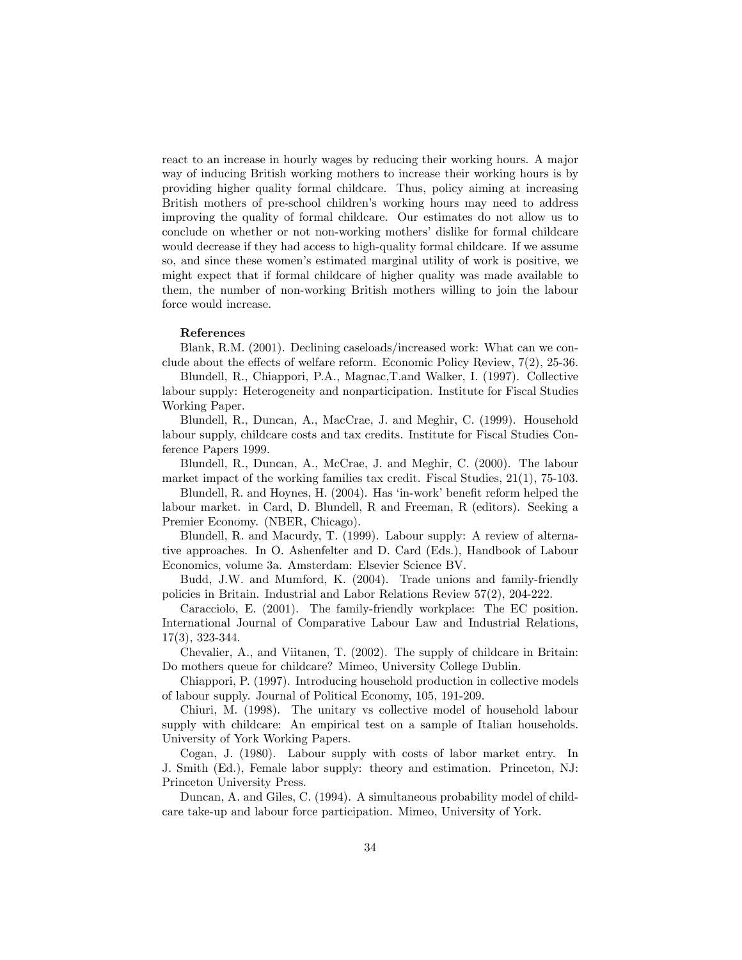react to an increase in hourly wages by reducing their working hours. A major way of inducing British working mothers to increase their working hours is by providing higher quality formal childcare. Thus, policy aiming at increasing British mothers of pre-school children's working hours may need to address improving the quality of formal childcare. Our estimates do not allow us to conclude on whether or not non-working mothers' dislike for formal childcare would decrease if they had access to high-quality formal childcare. If we assume so, and since these women's estimated marginal utility of work is positive, we might expect that if formal childcare of higher quality was made available to them, the number of non-working British mothers willing to join the labour force would increase.

#### References

Blank, R.M. (2001). Declining caseloads/increased work: What can we conclude about the effects of welfare reform. Economic Policy Review,  $7(2)$ , 25-36.

Blundell, R., Chiappori, P.A., Magnac,T.and Walker, I. (1997). Collective labour supply: Heterogeneity and nonparticipation. Institute for Fiscal Studies Working Paper.

Blundell, R., Duncan, A., MacCrae, J. and Meghir, C. (1999). Household labour supply, childcare costs and tax credits. Institute for Fiscal Studies Conference Papers 1999.

Blundell, R., Duncan, A., McCrae, J. and Meghir, C. (2000). The labour market impact of the working families tax credit. Fiscal Studies, 21(1), 75-103.

Blundell, R. and Hoynes, H.  $(2004)$ . Has 'in-work' benefit reform helped the labour market. in Card, D. Blundell, R and Freeman, R (editors). Seeking a Premier Economy. (NBER, Chicago).

Blundell, R. and Macurdy, T. (1999). Labour supply: A review of alternative approaches. In O. Ashenfelter and D. Card (Eds.), Handbook of Labour Economics, volume 3a. Amsterdam: Elsevier Science BV.

Budd, J.W. and Mumford, K. (2004). Trade unions and family-friendly policies in Britain. Industrial and Labor Relations Review 57(2), 204-222.

Caracciolo, E. (2001). The family-friendly workplace: The EC position. International Journal of Comparative Labour Law and Industrial Relations, 17(3), 323-344.

Chevalier, A., and Viitanen, T. (2002). The supply of childcare in Britain: Do mothers queue for childcare? Mimeo, University College Dublin.

Chiappori, P. (1997). Introducing household production in collective models of labour supply. Journal of Political Economy, 105, 191-209.

Chiuri, M. (1998). The unitary vs collective model of household labour supply with childcare: An empirical test on a sample of Italian households. University of York Working Papers.

Cogan, J. (1980). Labour supply with costs of labor market entry. In J. Smith (Ed.), Female labor supply: theory and estimation. Princeton, NJ: Princeton University Press.

Duncan, A. and Giles, C. (1994). A simultaneous probability model of childcare take-up and labour force participation. Mimeo, University of York.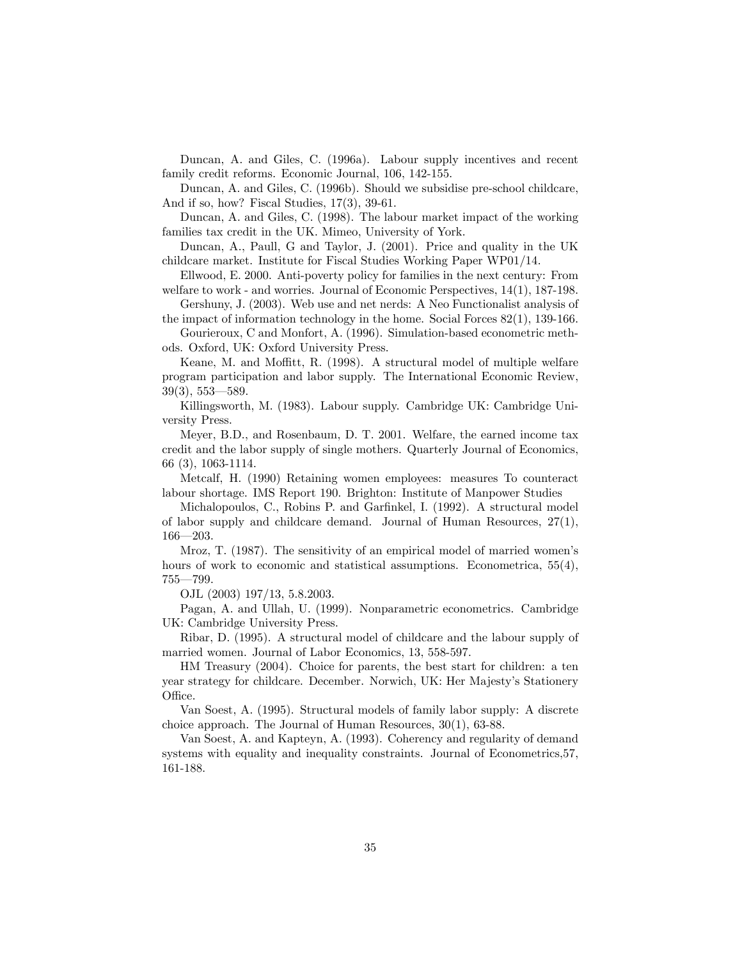Duncan, A. and Giles, C. (1996a). Labour supply incentives and recent family credit reforms. Economic Journal, 106, 142-155.

Duncan, A. and Giles, C. (1996b). Should we subsidise pre-school childcare, And if so, how? Fiscal Studies, 17(3), 39-61.

Duncan, A. and Giles, C. (1998). The labour market impact of the working families tax credit in the UK. Mimeo, University of York.

Duncan, A., Paull, G and Taylor, J. (2001). Price and quality in the UK childcare market. Institute for Fiscal Studies Working Paper WP01/14.

Ellwood, E. 2000. Anti-poverty policy for families in the next century: From welfare to work - and worries. Journal of Economic Perspectives, 14(1), 187-198.

Gershuny, J. (2003). Web use and net nerds: A Neo Functionalist analysis of the impact of information technology in the home. Social Forces 82(1), 139-166.

Gourieroux, C and Monfort, A. (1996). Simulation-based econometric methods. Oxford, UK: Oxford University Press.

Keane, M. and Moffitt, R. (1998). A structural model of multiple welfare program participation and labor supply. The International Economic Review,  $39(3), 553 - 589.$ 

Killingsworth, M. (1983). Labour supply. Cambridge UK: Cambridge University Press.

Meyer, B.D., and Rosenbaum, D. T. 2001. Welfare, the earned income tax credit and the labor supply of single mothers. Quarterly Journal of Economics, 66 (3), 1063-1114.

Metcalf, H. (1990) Retaining women employees: measures To counteract labour shortage. IMS Report 190. Brighton: Institute of Manpower Studies

Michalopoulos, C., Robins P. and Garfinkel, I. (1992). A structural model of labor supply and childcare demand. Journal of Human Resources, 27(1),  $166 - 203$ .

Mroz, T. (1987). The sensitivity of an empirical model of married women's hours of work to economic and statistical assumptions. Econometrica,  $55(4)$ ,  $755 - 799.$ 

OJL (2003) 197/13, 5.8.2003.

Pagan, A. and Ullah, U. (1999). Nonparametric econometrics. Cambridge UK: Cambridge University Press.

Ribar, D. (1995). A structural model of childcare and the labour supply of married women. Journal of Labor Economics, 13, 558-597.

HM Treasury (2004). Choice for parents, the best start for children: a ten year strategy for childcare. December. Norwich, UK: Her Majesty's Stationery Office.

Van Soest, A. (1995). Structural models of family labor supply: A discrete choice approach. The Journal of Human Resources, 30(1), 63-88.

Van Soest, A. and Kapteyn, A. (1993). Coherency and regularity of demand systems with equality and inequality constraints. Journal of Econometrics,57, 161-188.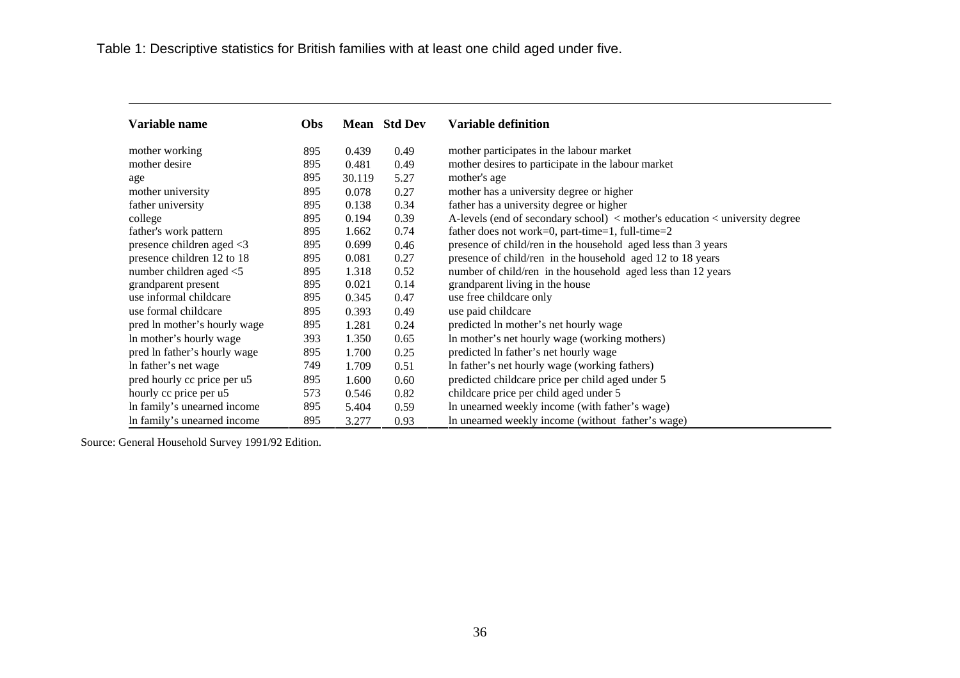| Variable name                | Obs |        | <b>Mean</b> Std Dev | <b>Variable definition</b>                                                  |
|------------------------------|-----|--------|---------------------|-----------------------------------------------------------------------------|
| mother working               | 895 | 0.439  | 0.49                | mother participates in the labour market                                    |
| mother desire                | 895 | 0.481  | 0.49                | mother desires to participate in the labour market                          |
| age                          | 895 | 30.119 | 5.27                | mother's age                                                                |
| mother university            | 895 | 0.078  | 0.27                | mother has a university degree or higher                                    |
| father university            | 895 | 0.138  | 0.34                | father has a university degree or higher                                    |
| college                      | 895 | 0.194  | 0.39                | A-levels (end of secondary school) < mother's education < university degree |
| father's work pattern        | 895 | 1.662  | 0.74                | father does not work=0, part-time=1, full-time=2                            |
| presence children aged <3    | 895 | 0.699  | 0.46                | presence of child/ren in the household aged less than 3 years               |
| presence children 12 to 18   | 895 | 0.081  | 0.27                | presence of child/ren in the household aged 12 to 18 years                  |
| number children aged <5      | 895 | 1.318  | 0.52                | number of child/ren in the household aged less than 12 years                |
| grandparent present          | 895 | 0.021  | 0.14                | grandparent living in the house                                             |
| use informal childcare       | 895 | 0.345  | 0.47                | use free childcare only                                                     |
| use formal childcare         | 895 | 0.393  | 0.49                | use paid childcare                                                          |
| pred ln mother's hourly wage | 895 | 1.281  | 0.24                | predicted ln mother's net hourly wage                                       |
| In mother's hourly wage      | 393 | 1.350  | 0.65                | In mother's net hourly wage (working mothers)                               |
| pred ln father's hourly wage | 895 | 1.700  | 0.25                | predicted ln father's net hourly wage                                       |
| In father's net wage         | 749 | 1.709  | 0.51                | In father's net hourly wage (working fathers)                               |
| pred hourly cc price per u5  | 895 | 1.600  | 0.60                | predicted childcare price per child aged under 5                            |
| hourly cc price per u5       | 573 | 0.546  | 0.82                | childcare price per child aged under 5                                      |
| In family's unearned income  | 895 | 5.404  | 0.59                | In unearned weekly income (with father's wage)                              |
| In family's unearned income  | 895 | 3.277  | 0.93                | In unearned weekly income (without father's wage)                           |

Source: General Household Survey 1991/92 Edition.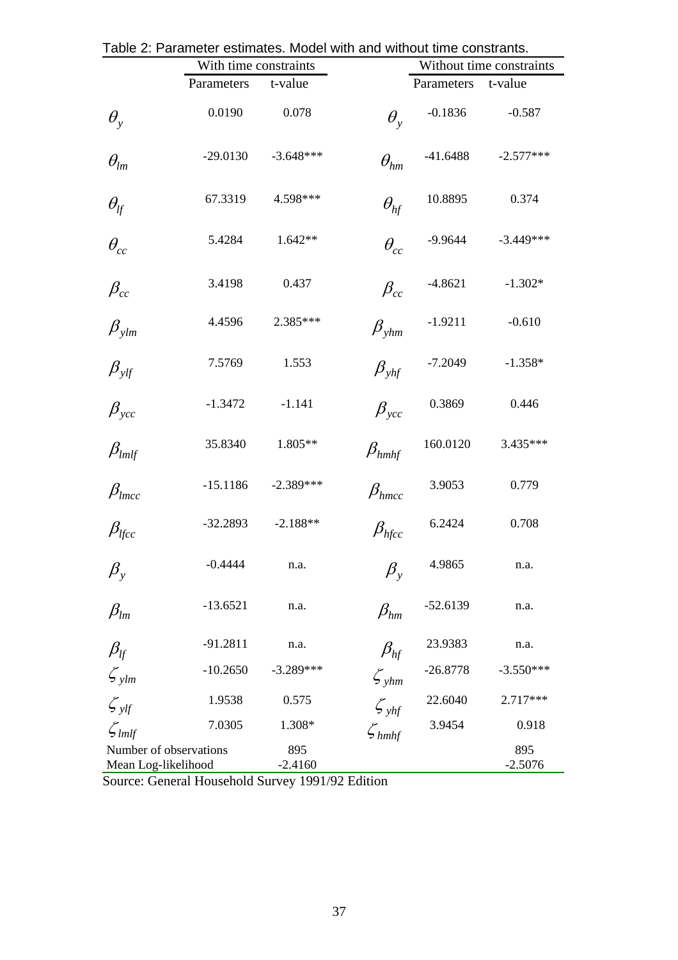|                                               | With time constraints |                  |                              | Without time constraints |                  |  |
|-----------------------------------------------|-----------------------|------------------|------------------------------|--------------------------|------------------|--|
|                                               | Parameters            | t-value          |                              | Parameters t-value       |                  |  |
| $\theta_{v}$                                  | 0.0190                | 0.078            | $\theta_{\rm v}$             | $-0.1836$                | $-0.587$         |  |
| $\theta_{lm}$                                 | $-29.0130$            | $-3.648***$      | $\theta_{hm}$                | $-41.6488$               | $-2.577***$      |  |
| $\theta_{\text{lf}}$                          | 67.3319               | 4.598***         | $\theta_{hf}$                | 10.8895                  | 0.374            |  |
| $\theta_{cc}$                                 | 5.4284                | $1.642**$        | $\theta_{cc}$                | -9.9644                  | $-3.449***$      |  |
| $\beta_{cc}$                                  | 3.4198                | 0.437            | $\beta_{cc}$                 | $-4.8621$                | $-1.302*$        |  |
| $\beta_{\text{ylm}}$                          | 4.4596                | 2.385***         | $\beta_{\textit{ghm}}$       | $-1.9211$                | $-0.610$         |  |
| $\beta_{\textit{ylf}}$                        | 7.5769                | 1.553            | $\beta_{\tiny \textit{vhf}}$ | $-7.2049$                | $-1.358*$        |  |
| $\beta_{ycc}$                                 | $-1.3472$             | $-1.141$         | $\beta_{\textit{vcc}}$       | 0.3869                   | 0.446            |  |
| $\beta_{lmlf}$                                | 35.8340               | 1.805**          | $\beta_{\textit{hmhf}}$      | 160.0120                 | 3.435***         |  |
| $\beta_{lmcc}$                                | $-15.1186$            | $-2.389***$      | $\beta_{hmcc}$               | 3.9053                   | 0.779            |  |
| $\beta_{l\!f\!c\!c}$                          | $-32.2893$            | $-2.188**$       | $\beta_{h\!f\!c\!c}$         | 6.2424                   | 0.708            |  |
| $\beta_{y}$                                   | $-0.4444$             | n.a.             | $\beta_{\rm y}$              | 4.9865                   | n.a.             |  |
| $\beta_{lm}$                                  | $-13.6521$            | n.a.             | $\beta_{hm}$                 | $-52.6139$               | n.a.             |  |
| $\beta_{\text{lf}}$                           | $-91.2811$            | n.a.             | $\beta_{hf}$                 | 23.9383                  | n.a.             |  |
| $\zeta_{\text{ylm}}$                          | $-10.2650$            | $-3.289***$      | $\zeta_{\text{ghm}}$         | $-26.8778$               | $-3.550***$      |  |
| $\zeta_{y}$                                   | 1.9538                | 0.575            | $\mathcal{L}_{yhf}$          | 22.6040                  | 2.717***         |  |
| $\zeta_{lmlf}$                                | 7.0305                | 1.308*           | $\zeta_{hmlf}$               | 3.9454                   | 0.918            |  |
| Number of observations<br>Mean Log-likelihood |                       | 895<br>$-2.4160$ |                              |                          | 895<br>$-2.5076$ |  |

Table 2: Parameter estimates. Model with and without time constrants.

Source: General Household Survey 1991/92 Edition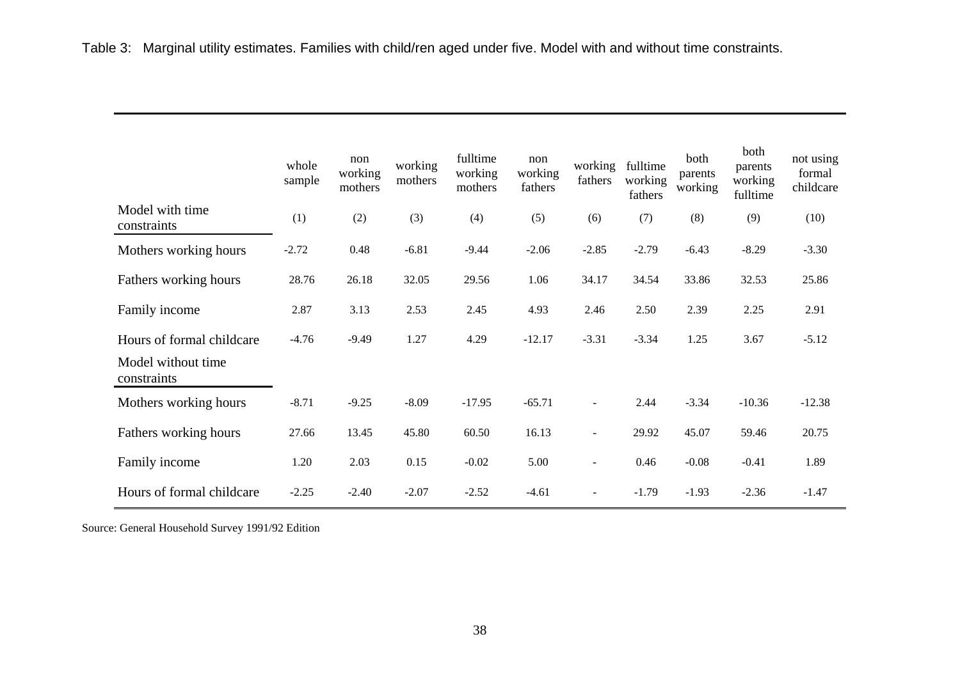|                                   | whole<br>sample | non<br>working<br>mothers | working<br>mothers | fulltime<br>working<br>mothers | non<br>working<br>fathers | working<br>fathers       | fulltime<br>working<br>fathers | both<br>parents<br>working | both<br>parents<br>working<br>fulltime | not using<br>formal<br>childcare |
|-----------------------------------|-----------------|---------------------------|--------------------|--------------------------------|---------------------------|--------------------------|--------------------------------|----------------------------|----------------------------------------|----------------------------------|
| Model with time<br>constraints    | (1)             | (2)                       | (3)                | (4)                            | (5)                       | (6)                      | (7)                            | (8)                        | (9)                                    | (10)                             |
| Mothers working hours             | $-2.72$         | 0.48                      | $-6.81$            | $-9.44$                        | $-2.06$                   | $-2.85$                  | $-2.79$                        | $-6.43$                    | $-8.29$                                | $-3.30$                          |
| Fathers working hours             | 28.76           | 26.18                     | 32.05              | 29.56                          | 1.06                      | 34.17                    | 34.54                          | 33.86                      | 32.53                                  | 25.86                            |
| Family income                     | 2.87            | 3.13                      | 2.53               | 2.45                           | 4.93                      | 2.46                     | 2.50                           | 2.39                       | 2.25                                   | 2.91                             |
| Hours of formal childcare         | $-4.76$         | $-9.49$                   | 1.27               | 4.29                           | $-12.17$                  | $-3.31$                  | $-3.34$                        | 1.25                       | 3.67                                   | $-5.12$                          |
| Model without time<br>constraints |                 |                           |                    |                                |                           |                          |                                |                            |                                        |                                  |
| Mothers working hours             | $-8.71$         | $-9.25$                   | $-8.09$            | $-17.95$                       | $-65.71$                  | $\blacksquare$           | 2.44                           | $-3.34$                    | $-10.36$                               | $-12.38$                         |
| Fathers working hours             | 27.66           | 13.45                     | 45.80              | 60.50                          | 16.13                     | $\blacksquare$           | 29.92                          | 45.07                      | 59.46                                  | 20.75                            |
| Family income                     | 1.20            | 2.03                      | 0.15               | $-0.02$                        | 5.00                      | $\blacksquare$           | 0.46                           | $-0.08$                    | $-0.41$                                | 1.89                             |
| Hours of formal childcare         | $-2.25$         | $-2.40$                   | $-2.07$            | $-2.52$                        | $-4.61$                   | $\overline{\phantom{a}}$ | $-1.79$                        | $-1.93$                    | $-2.36$                                | $-1.47$                          |

Source: General Household Survey 1991/92 Edition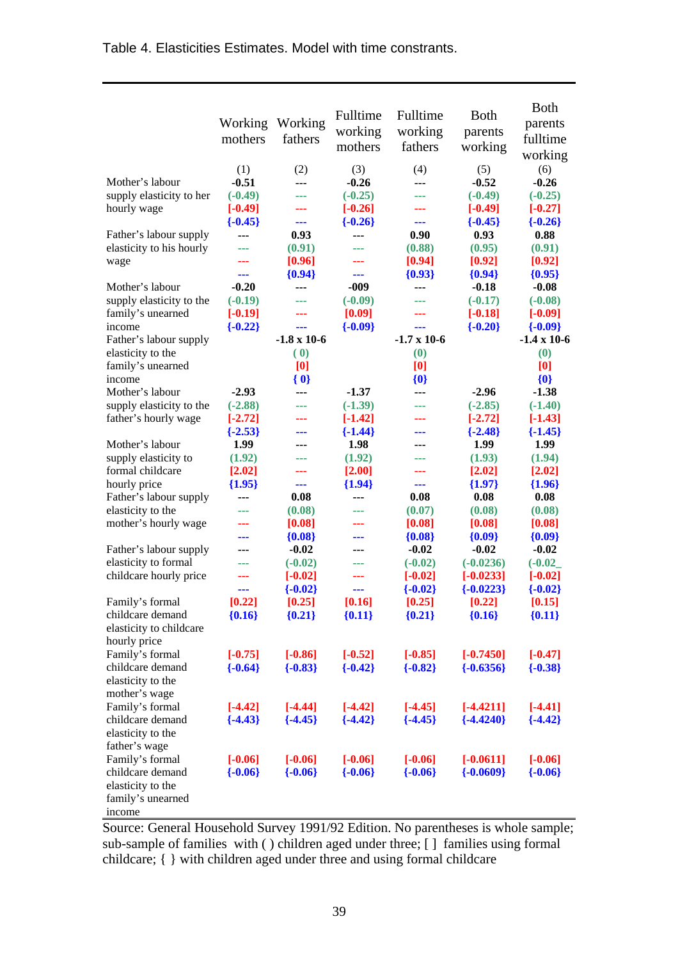| Table 4. Elasticities Estimates. Model with time constrants. |  |
|--------------------------------------------------------------|--|
|--------------------------------------------------------------|--|

|                                                    | Working<br>mothers | Working<br>fathers | Fulltime<br>working<br>mothers | Fulltime<br>working<br>fathers | <b>B</b> oth<br>parents<br>working | <b>Both</b><br>parents<br>fulltime<br>working |
|----------------------------------------------------|--------------------|--------------------|--------------------------------|--------------------------------|------------------------------------|-----------------------------------------------|
|                                                    | (1)                | (2)                | (3)                            | (4)                            | (5)                                | (6)                                           |
| Mother's labour                                    | $-0.51$            | ---                | $-0.26$                        | ---                            | $-0.52$                            | $-0.26$                                       |
| supply elasticity to her                           | $(-0.49)$          | ---                | $(-0.25)$                      | ---                            | $(-0.49)$                          | $(-0.25)$                                     |
| hourly wage                                        | $[-0.49]$          |                    | $[-0.26]$                      |                                | $[-0.49]$                          | $[-0.27]$                                     |
|                                                    | $\{-0.45\}$        | ---<br>0.93        | $\{-0.26\}$                    | ---<br>0.90                    | $\{-0.45\}$                        | $\{-0.26\}$                                   |
| Father's labour supply<br>elasticity to his hourly | ---<br>---         | (0.91)             | ---<br>---                     | (0.88)                         | 0.93<br>(0.95)                     | 0.88<br>(0.91)                                |
| wage                                               | ---                | [0.96]             |                                | [0.94]                         | [0.92]                             | [0.92]                                        |
|                                                    | ---                | ${0.94}$           | ---                            | ${0.93}$                       | ${0.94}$                           | ${0.95}$                                      |
| Mother's labour                                    | $-0.20$            | ---                | $-009$                         | ---                            | $-0.18$                            | $-0.08$                                       |
| supply elasticity to the                           | $(-0.19)$          | ---                | $(-0.09)$                      | ---                            | $(-0.17)$                          | $(-0.08)$                                     |
| family's unearned                                  | $[-0.19]$          | ---                | [0.09]                         | ---                            | $[-0.18]$                          | $[-0.09]$                                     |
| income                                             | $\{-0.22\}$        | ---                | ${-0.09}$                      | ---                            | ${-0.20}$                          | $\{-0.09\}$                                   |
| Father's labour supply                             |                    | $-1.8 \times 10-6$ |                                | $-1.7 \times 10-6$             |                                    | $-1.4 \times 10-6$                            |
| elasticity to the                                  |                    | (0)                |                                | (0)                            |                                    | (0)                                           |
| family's unearned                                  |                    | [0]                |                                | [0]                            |                                    | [0]                                           |
| income                                             |                    | ${0}$              |                                | ${0}$                          |                                    | ${0}$                                         |
| Mother's labour                                    | $-2.93$            | ---                | $-1.37$                        | ---                            | $-2.96$                            | $-1.38$                                       |
| supply elasticity to the                           | $(-2.88)$          | ---                | $(-1.39)$                      |                                | $(-2.85)$                          | $(-1.40)$                                     |
| father's hourly wage                               | $[-2.72]$          |                    | $[-1.42]$                      |                                | $[-2.72]$                          | $[-1.43]$                                     |
|                                                    | $\{-2.53\}$        | ---                | ${-1.44}$                      |                                | $\{-2.48\}$                        | $\{-1.45\}$                                   |
| Mother's labour                                    | 1.99               |                    | 1.98                           |                                | 1.99                               | 1.99                                          |
| supply elasticity to                               | (1.92)             | ---                | (1.92)                         | ---                            | (1.93)                             | (1.94)                                        |
| formal childcare                                   | [2.02]             | ---                | [2.00]                         | ---                            | [2.02]                             | [2.02]                                        |
| hourly price                                       | ${1.95}$           | ---                | ${1.94}$                       | ---                            | ${1.97}$                           | ${1.96}$                                      |
| Father's labour supply                             | ---                | 0.08               | ---                            | 0.08                           | 0.08                               | 0.08                                          |
| elasticity to the                                  | ---                | (0.08)             | ---                            | (0.07)                         | (0.08)                             | (0.08)                                        |
| mother's hourly wage                               |                    | [0.08]             |                                | [0.08]                         | [0.08]                             | [0.08]                                        |
|                                                    |                    | ${0.08}$           | ---                            | ${0.08}$                       | ${0.09}$                           | ${0.09}$                                      |
| Father's labour supply                             | ---                | $-0.02$            | ---                            | $-0.02$                        | $-0.02$                            | $-0.02$                                       |
| elasticity to formal                               |                    | $(-0.02)$          |                                | $(-0.02)$                      | $(-0.0236)$                        | $(-0.02)$                                     |
| childcare hourly price                             |                    | $[-0.02]$          | ---                            | $[-0.02]$                      | $[-0.0233]$                        | $[-0.02]$                                     |
|                                                    | ---                | ${-0.02}$          | ---                            | $\{-0.02\}$                    | $\{-0.0223\}$                      | $\{-0.02\}$                                   |
| Family's formal                                    | [0.22]             | [0.25]             | $\bm{\mathsf{[0.16}}$          | [0.25]                         | [0.22]                             | [0.15]                                        |
| childcare demand                                   | ${0.16}$           | ${0.21}$           | ${0.11}$                       | ${0.21}$                       | ${0.16}$                           | ${0.11}$                                      |
| elasticity to childcare<br>hourly price            |                    |                    |                                |                                |                                    |                                               |
| Family's formal                                    | $[-0.75]$          | $[-0.86]$          | $[-0.52]$                      | $[-0.85]$                      | $[-0.7450]$                        | $[-0.47]$                                     |
| childcare demand                                   | $\{-0.64\}$        | $\{-0.83\}$        | $\{-0.42\}$                    | $\{-0.82\}$                    | $\{-0.6356\}$                      | $\{-0.38\}$                                   |
| elasticity to the                                  |                    |                    |                                |                                |                                    |                                               |
| mother's wage                                      |                    |                    |                                |                                |                                    |                                               |
| Family's formal                                    | $[-4.42]$          | $[-4.44]$          | $[-4.42]$                      | $[-4.45]$                      | $[-4.4211]$                        | $[-4.41]$                                     |
| childcare demand                                   | $\{-4.43\}$        | $\{-4.45\}$        | $\{-4.42\}$                    | $\{-4.45\}$                    | $\{-4.4240\}$                      | $\{-4.42\}$                                   |
| elasticity to the                                  |                    |                    |                                |                                |                                    |                                               |
| father's wage                                      |                    |                    |                                |                                |                                    |                                               |
| Family's formal                                    | $[-0.06]$          | $[-0.06]$          | $[-0.06]$                      | $[-0.06]$                      | $[-0.0611]$                        | $[-0.06]$                                     |
| childcare demand                                   | $\{-0.06\}$        | $\{-0.06\}$        | $\{-0.06\}$                    | $\{-0.06\}$                    | $\{-0.0609\}$                      | $\{-0.06\}$                                   |
| elasticity to the                                  |                    |                    |                                |                                |                                    |                                               |
| family's unearned                                  |                    |                    |                                |                                |                                    |                                               |
| income                                             |                    |                    |                                |                                |                                    |                                               |

Source: General Household Survey 1991/92 Edition. No parentheses is whole sample; sub-sample of families with ( ) children aged under three; [ ] families using formal childcare; { } with children aged under three and using formal childcare